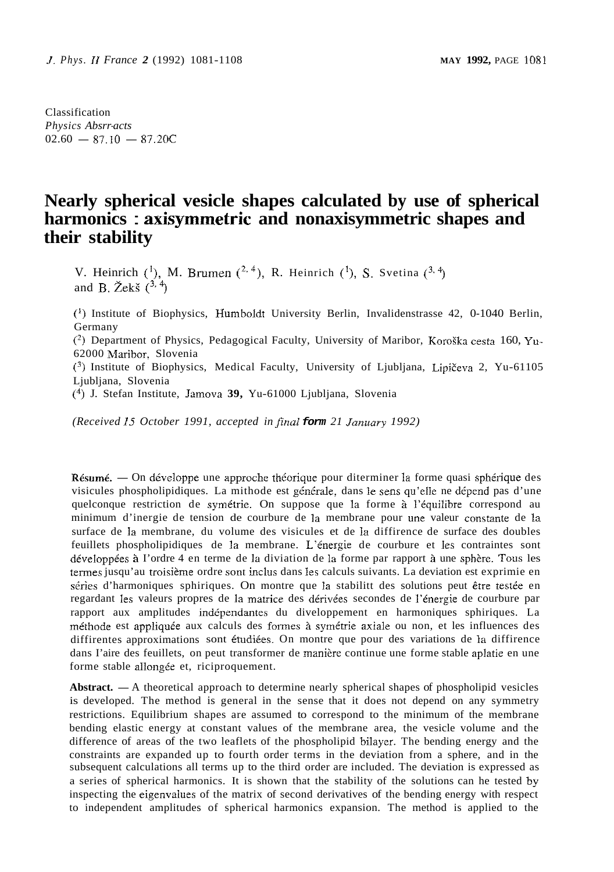Classification *Physics Absrr-acts*   $02.60 - 87.10 - 87.20C$ 

# **Nearly spherical vesicle shapes calculated by use of spherical harmonics** : **axisymmetric and nonaxisymmetric shapes and their stability**

V. Heinrich  $\binom{1}{1}$ , M. Brumen  $\binom{2, 4}{1}$ , R. Heinrich  $\binom{1}{1}$ , S. Svetina  $\binom{3, 4}{1}$ and B.  $\check{Z}$ ekš  $(^{3,4})$ 

(') Institute of Biophysics, Humboldt University Berlin, Invalidenstrasse 42, 0-1040 Berlin, Germany

(') Department of Physics, Pedagogical Faculty, University of Maribor, KoroSka cesta 160, Yu-62000 Maribor, Slovenia

**(3)** Institute of Biophysics, Medical Faculty, University of Ljubljana, Lipiteva 2, Yu-61105 Ljubljana, Slovenia

C4) J. Stefan Institute, Jamova **39,** Yu-61000 Ljubljana, Slovenia

*(Received* **25** *October 1991, accepted in jinai form 21 January 1992)* 

Résumé. - On développe une approche théorique pour diterminer la forme quasi sphérique des visicules phospholipidiques. La mithode est générale, dans le sens qu'elle ne dépend pas d'une quelconque restriction de symétrie. On suppose que la forme à l'équilibre correspond au minimum d'inergie de tension de courbure de la membrane pour une valeur constante de la surface de la membrane, du volume des visicules et de la diffirence de surface des doubles feuillets phospholipidiques de la membrane. L'énergie de courbure et les contraintes sont développées à l'ordre 4 en terme de la diviation de la forme par rapport à une sphère. Tous les termes jusqu'au troisième ordre sont inclus dans les calculs suivants. La deviation est exprimie en séries d'harmoniques sphiriques. On montre que la stabilitt des solutions peut être testée en regardant les valeurs propres de la matrice des dérivées secondes de l'énergie de courbure par rapport aux amplitudes indipendantes du diveloppement en harmoniques sphiriques. La mithode est appliquie aux calculs des formes *B* symitrie axiale ou non, et les influences des diffirentes approximations sont étudiées. On montre que pour des variations de la diffirence dans I'aire des feuillets, on peut transformer de manière continue une forme stable aplatie en une forme stable allongée et, riciproquement.

Abstract. — A theoretical approach to determine nearly spherical shapes of phospholipid vesicles is developed. The method is general in the sense that it does not depend on any symmetry restrictions. Equilibrium shapes are assumed to correspond to the minimum of the membrane bending elastic energy at constant values of the membrane area, the vesicle volume and the difference of areas of the two leaflets of the phospholipid hilayer. The bending energy and the constraints are expanded up to fourth order terms in the deviation from a sphere, and in the subsequent calculations all terms up to the third order are included. The deviation is expressed as a series of spherical harmonics. It is shown that the stability of the solutions can he tested by inspecting the eigenvalues of the matrix of second derivatives of the bending energy with respect to independent amplitudes of spherical harmonics expansion. The method is applied to the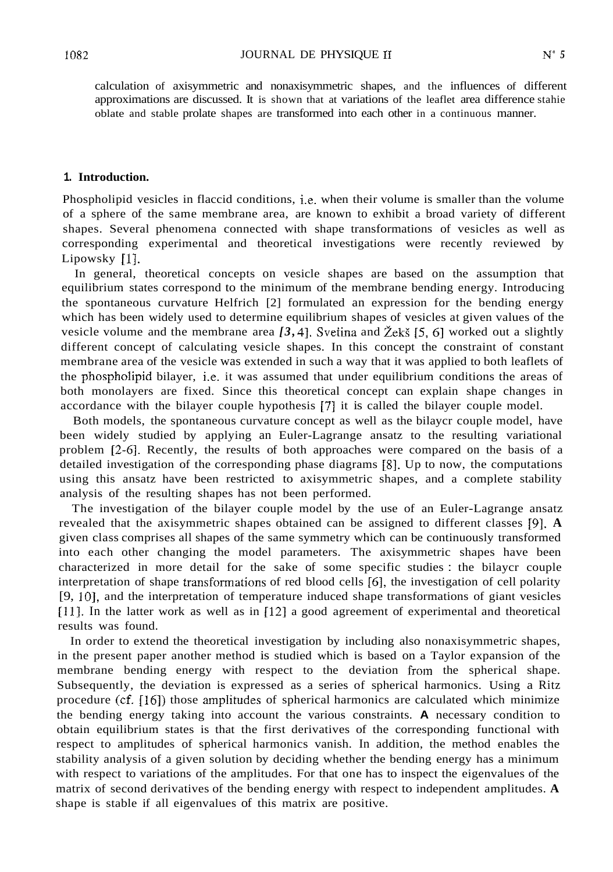calculation of axisymmetric and nonaxisymmetric shapes, and the influences of different approximations are discussed. It is shown that at variations of the leaflet area difference stahie oblate and stable prolate shapes are transformed into each other in a continuous manner.

### **1. Introduction.**

Phospholipid vesicles in flaccid conditions, i.e. when their volume is smaller than the volume of a sphere of the same membrane area, are known to exhibit a broad variety of different shapes. Several phenomena connected with shape transformations of vesicles as well as corresponding experimental and theoretical investigations were recently reviewed by Lipowsky [1].

In general, theoretical concepts on vesicle shapes are based on the assumption that equilibrium states correspond to the minimum of the membrane bending energy. Introducing the spontaneous curvature Helfrich [2] formulated an expression for the bending energy which has been widely used to determine equilibrium shapes of vesicles at given values of the vesicle volume and the membrane area  $[3, 4]$ . Svetina and  $\zeta$ eks  $[5, 6]$  worked out a slightly different concept of calculating vesicle shapes. In this concept the constraint of constant membrane area of the vesicle was extended in such a way that it was applied to both leaflets of the phospholipid bilayer, i.e. it was assumed that under equilibrium conditions the areas of both monolayers are fixed. Since this theoretical concept can explain shape changes in accordance with the bilayer couple hypothesis 171 it is called the bilayer couple model.

Both models, the spontaneous curvature concept as well as the bilaycr couple model, have been widely studied by applying an Euler-Lagrange ansatz to the resulting variational problem [2-61. Recently, the results of both approaches were compared on the basis of a detailed investigation of the corresponding phase diagrams [8]. Up to now, the computations using this ansatz have been restricted to axisymmetric shapes, and a complete stability analysis of the resulting shapes has not been performed.

The investigation of the bilayer couple model by the use of an Euler-Lagrange ansatz revealed that the axisymmetric shapes obtained can be assigned to different classes [9]. **A**  given class comprises all shapes of the same symmetry which can be continuously transformed into each other changing the model parameters. The axisymmetric shapes have been characterized in more detail for the sake of some specific studies : the bilaycr couple interpretation of shape transformations of red blood cells [6], the investigation of cell polarity [9, 101, and the interpretation of temperature induced shape transformations of giant vesicles [11]. In the latter work as well as in  $[12]$  a good agreement of experimental and theoretical results was found.

In order to extend the theoretical investigation by including also nonaxisymmetric shapes, in the present paper another method is studied which is based on a Taylor expansion of the membrane bending energy with respect to the deviation from the spherical shape. Subsequently, the deviation is expressed as a series of spherical harmonics. Using a Ritz procedure (cf. [16]) those amplitudes of spherical harmonics are calculated which minimize the bending energy taking into account the various constraints. **A** necessary condition to obtain equilibrium states is that the first derivatives of the corresponding functional with respect to amplitudes of spherical harmonics vanish. In addition, the method enables the stability analysis of a given solution by deciding whether the bending energy has a minimum with respect to variations of the amplitudes. For that one has to inspect the eigenvalues of the matrix of second derivatives of the bending energy with respect to independent amplitudes. **A**  shape is stable if all eigenvalues of this matrix are positive.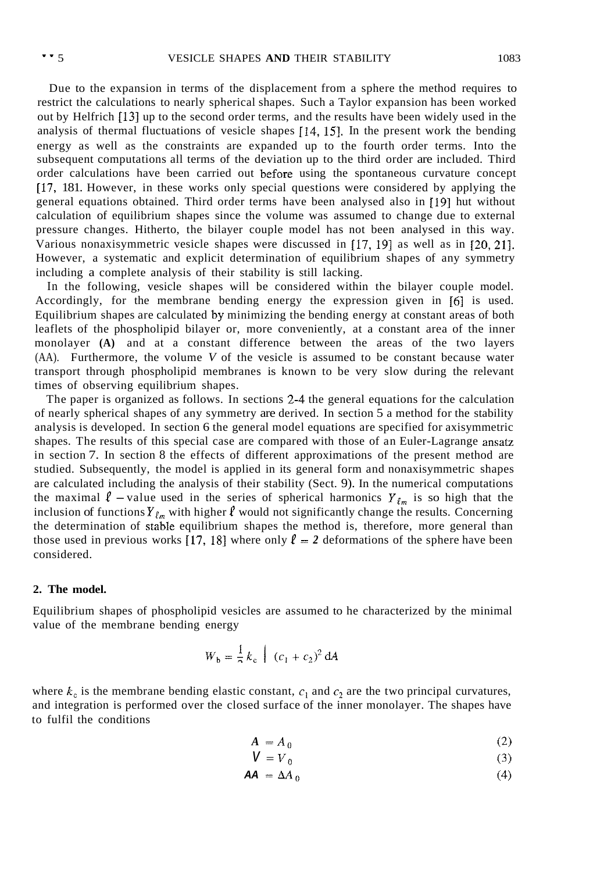Due to the expansion in terms of the displacement from a sphere the method requires to restrict the calculations to nearly spherical shapes. Such a Taylor expansion has been worked out by Helfrich [131 up to the second order terms, and the results have been widely used in the analysis of thermal fluctuations of vesicle shapes [14, 151. In the present work the bending energy as well as the constraints are expanded up to the fourth order terms. Into the subsequent computations all terms of the deviation up to the third order are included. Third order calculations have been carried out before using the spontaneous curvature concept [17, 181. However, in these works only special questions were considered by applying the general equations obtained. Third order terms have been analysed also in **[I91** hut without calculation of equilibrium shapes since the volume was assumed to change due to external pressure changes. Hitherto, the bilayer couple model has not been analysed in this way. Various nonaxisymmetric vesicle shapes were discussed in 117, 191 as well as in *[20,* 211. However, a systematic and explicit determination of equilibrium shapes of any symmetry including a complete analysis of their stability is still lacking.

In the following, vesicle shapes will be considered within the bilayer couple model. Accordingly, for the membrane bending energy the expression given in [6] is used. Equilibrium shapes are calculated by minimizing the bending energy at constant areas of both leaflets of the phospholipid bilayer or, more conveniently, at a constant area of the inner monolayer **(A)** and at a constant difference between the areas of the two layers (AA). Furthermore, the volume *V* of the vesicle is assumed to be constant because water transport through phospholipid membranes is known to be very slow during the relevant times of observing equilibrium shapes.

The paper is organized as follows. In sections 2-4 the general equations for the calculation of nearly spherical shapes of any symmetry are derived. In section 5 a method for the stability analysis is developed. In section 6 the general model equations are specified for axisymmetric shapes. The results of this special case are compared with those of an Euler-Lagrange ansatz in section 7. In section 8 the effects of different approximations of the present method are studied. Subsequently, the model is applied in its general form and nonaxisymmetric shapes are calculated including the analysis of their stability (Sect. 9). In the numerical computations the maximal  $\ell$  -value used in the series of spherical harmonics  $Y_{\ell m}$  is so high that the inclusion of functions  $Y_{\ell_m}$  with higher  $\ell$  would not significantly change the results. Concerning the determination of stable equilibrium shapes the method is, therefore, more general than those used in previous works [17, 18] where only  $\ell = 2$  deformations of the sphere have been considered.

#### **2. The model.**

Equilibrium shapes of phospholipid vesicles are assumed to he characterized by the minimal value of the membrane bending energy

$$
W_b = \frac{1}{2} k_c \int (c_1 + c_2)^2 dA
$$

where  $k_c$  is the membrane bending elastic constant,  $c_1$  and  $c_2$  are the two principal curvatures, and integration is performed over the closed surface of the inner monolayer. The shapes have to fulfil the conditions

$$
A = A_0 \tag{2}
$$

$$
V = V_0 \tag{3}
$$

$$
AA = \Delta A_0 \tag{4}
$$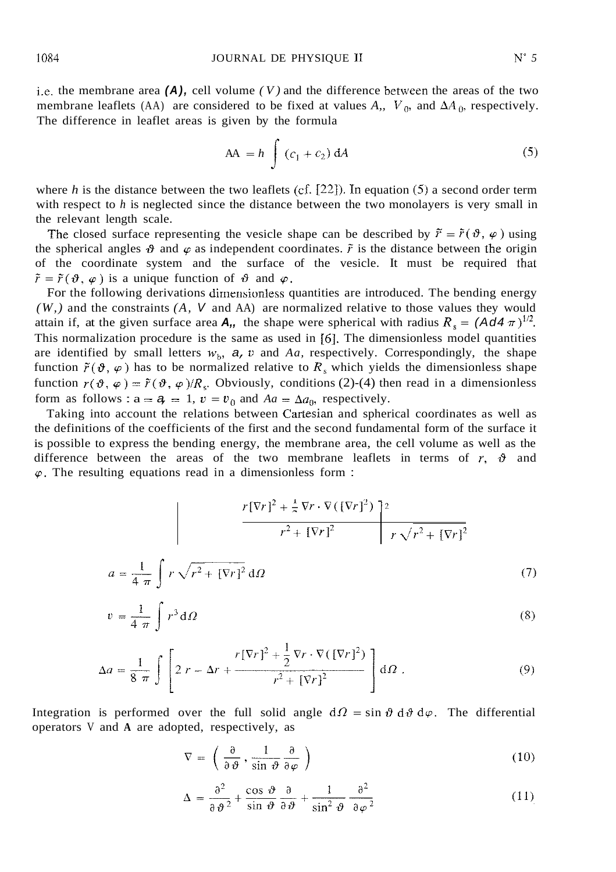i.e. the membrane area  $(A)$ , cell volume  $(V)$  and the difference between the areas of the two membrane leaflets (AA) are considered to be fixed at values A,,  $V_0$ , and  $\Delta A_0$ , respectively. The difference in leaflet areas is given by the formula

$$
AA = h \int (c_1 + c_2) dA
$$
 (5)

where *h* is the distance between the two leaflets (cf. [22]). In equation (5) a second order term with respect to *h* is neglected since the distance between the two monolayers is very small in the relevant length scale.

The closed surface representing the vesicle shape can be described by  $\tilde{r} = \tilde{r}(\vartheta, \varphi)$  using the spherical angles  $\vartheta$  and  $\varphi$  as independent coordinates.  $\tilde{r}$  is the distance between the origin of the coordinate system and the surface of the vesicle. It must be required that  $\tilde{r} = \tilde{r}(\theta, \varphi)$  is a unique function of  $\theta$  and  $\varphi$ .

For the following derivations dimensionless quantities are introduced. The bending energy *(W,)* and the constraints *(A, V* and AA) are normalized relative to those values they would attain if, at the given surface area **A**,, the shape were spherical with radius  $R_s = (Ad4 \pi)^{1/2}$ . This normalization procedure is the same as used in *[6].* The dimensionless model quantities are identified by small letters  $w_b$ ,  $a$ ,  $v$  and  $Aa$ , respectively. Correspondingly, the shape function  $\tilde{r}(\vartheta, \varphi)$  has to be normalized relative to  $R_s$  which yields the dimensionless shape function  $r(\vartheta, \varphi) = \tilde{r}(\vartheta, \varphi)/R_s$ . Obviously, conditions (2)-(4) then read in a dimensionless form as follows :  $a = a$ ,  $= 1$ ,  $v = v_0$  and  $Aa = \Delta a_0$ , respectively.

Taking into account the relations between Cartesian and spherical coordinates as well as the definitions of the coefficients of the first and the second fundamental form of the surface it is possible to express the bending energy, the membrane area, the cell volume as well as the difference between the areas of the two membrane leaflets in terms of  $r$ ,  $\vartheta$  and  $\varphi$ . The resulting equations read in a dimensionless form :

$$
r[\nabla r]^2 + \frac{1}{2} \nabla r \cdot \nabla (\nabla r)^2) \Big|^{2}
$$

$$
r^2 + [\nabla r]^2 \Big| r \sqrt{r^2 + [\nabla r]^2}
$$

$$
a = \frac{1}{4 \pi} \int r \sqrt{r^2 + [\nabla r]^2} d\Omega \tag{7}
$$

$$
v = \frac{1}{4 \pi} \int r^3 d\Omega \tag{8}
$$

$$
\Delta a = \frac{1}{8 \pi} \int \left[ 2 r - \Delta r + \frac{r[\nabla r]^2 + \frac{1}{2} \nabla r \cdot \nabla (\left[ \nabla r \right]^2)}{r^2 + [\nabla r]^2} \right] d\Omega \tag{9}
$$

Integration is performed over the full solid angle  $d\Omega = \sin \vartheta d\vartheta d\varphi$ . The differential operators V and **A** are adopted, respectively, as

$$
\nabla = \left( \frac{\partial}{\partial \vartheta}, \frac{1}{\sin \vartheta} \frac{\partial}{\partial \varphi} \right) \tag{10}
$$

$$
\Delta = \frac{\partial^2}{\partial \vartheta^2} + \frac{\cos \vartheta}{\sin \vartheta} \frac{\partial}{\partial \vartheta} + \frac{1}{\sin^2 \vartheta} \frac{\partial^2}{\partial \varphi^2}
$$
(11)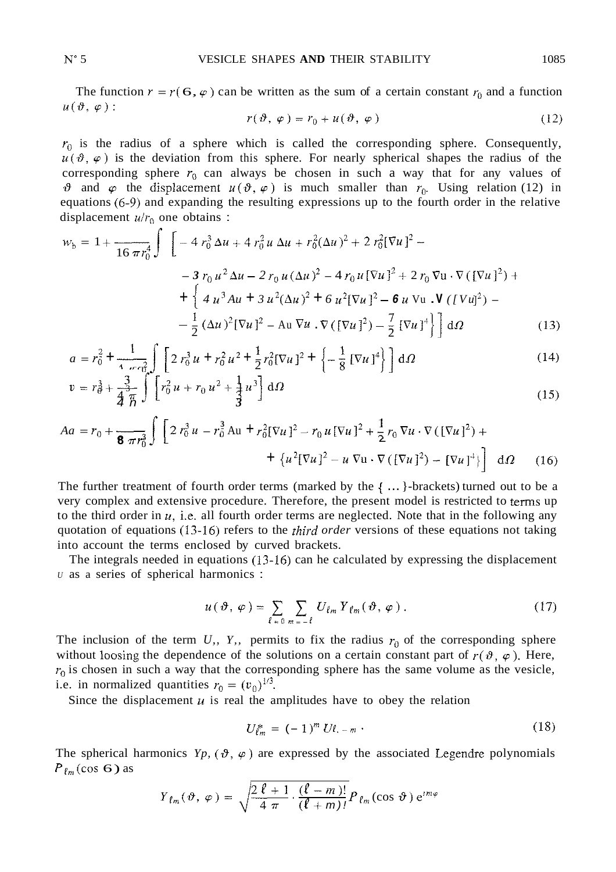The function  $r = r(6, \varphi)$  can be written as the sum of a certain constant  $r_0$  and a function  $u(\vartheta, \varphi)$ :

$$
r(\vartheta, \varphi) = r_0 + u(\vartheta, \varphi) \tag{12}
$$

 $r_0$  is the radius of a sphere which is called the corresponding sphere. Consequently,  $u(\vartheta, \varphi)$  is the deviation from this sphere. For nearly spherical shapes the radius of the corresponding sphere  $r_0$  can always be chosen in such a way that for any values of  $\vartheta$  and  $\varphi$  the displacement  $u(\vartheta, \varphi)$  is much smaller than  $r_0$ . Using relation (12) in equations *(6-9)* and expanding the resulting expressions up to the fourth order in the relative displacement  $u/r_0$  one obtains :

$$
w_{b} = 1 + \frac{1}{16 \pi r_{0}^{4}} \int \left[ -4 r_{0}^{3} \Delta u + 4 r_{0}^{2} u \Delta u + r_{0}^{2} (\Delta u)^{2} + 2 r_{0}^{2} [\nabla u]^{2} - 3 r_{0} u^{2} \Delta u - 2 r_{0} u (\Delta u)^{2} - 4 r_{0} u [\nabla u]^{2} + 2 r_{0} \nabla u \cdot \nabla ([\nabla u]^{2}) + \left\{ 4 u^{3} A u + 3 u^{2} (\Delta u)^{2} + 6 u^{2} [\nabla u]^{2} - 6 u \nabla u \cdot \nabla ([\nabla u]^{2}) - \frac{1}{2} (\Delta u)^{2} [\nabla u]^{2} - A u \nabla u \cdot \nabla ([\nabla u]^{2}) - \frac{7}{2} [\nabla u]^{4} \right\} \right] d\Omega
$$
 (13)

$$
a = r_0^2 + \frac{1}{4 \pi r_0^2} \int \left[ 2 r_0^3 u + r_0^2 u^2 + \frac{1}{2} r_0^2 [\nabla u]^2 + \left\{ -\frac{1}{8} [\nabla u]^4 \right\} \right] d\Omega
$$
 (14)

$$
v = r_0^3 + \frac{3}{4\pi} \int \left[ r_0^2 u + r_0 u^2 + \frac{1}{3} u^3 \right] d\Omega
$$
 (15)

$$
Aa = r_0 + \frac{1}{8 \pi r_0^3} \int \left[ 2 r_0^3 u - r_0^3 \Delta u + r_0^2 [\nabla u]^2 - r_0 u [\nabla u]^2 + \frac{1}{2} r_0 \nabla u \cdot \nabla ([\nabla u]^2) + \right. \\ \left. + \left\{ u^2 [\nabla u]^2 - u \nabla u \cdot \nabla ([\nabla u]^2) - [\nabla u]^4 \right\} \right] d\Omega \tag{16}
$$

The further treatment of fourth order terms (marked by the { ... }-brackets) turned out to be a very complex and extensive procedure. Therefore, the present model is restricted to terms up to the third order in *U,* i.e. all fourth order terms are neglected. Note that in the following any quotation of equations (13-16) refers to the *third order* versions of these equations not taking into account the terms enclosed by curved brackets.

The integrals needed in equations (13.16) can he calculated by expressing the displacement *<sup>U</sup>*as a series of spherical harmonics :

$$
u(\vartheta, \varphi) = \sum_{\ell = 0} \sum_{m = -\ell} U_{\ell m} Y_{\ell m} (\vartheta, \varphi).
$$
 (17)

The inclusion of the term  $U_i$ ,  $Y_i$ , permits to fix the radius  $r_0$  of the corresponding sphere without loosing the dependence of the solutions on a certain constant part of  $r(\theta, \varphi)$ . Here,  $r_0$  is chosen in such a way that the corresponding sphere has the same volume as the vesicle, i.e. in normalized quantities  $r_0 = (v_0)^{1/3}$ .

Since the displacement  $u$  is real the amplitudes have to obey the relation

$$
U_{\ell m}^* = (-1)^m U_{\ell, -m} \t\t(18)
$$

The spherical harmonics  $Y_p$ ,  $(\vartheta, \varphi)$  are expressed by the associated Legendre polynomials  $P_{\ell_m}(\cos 6)$  as

$$
Y_{\ell_m}(\vartheta, \varphi) = \sqrt{\frac{2\,\ell+1}{4\,\pi} \cdot \frac{(\ell-m)!}{(\ell+m)!}} P_{\ell_m}(\cos\vartheta) e^{im\varphi}
$$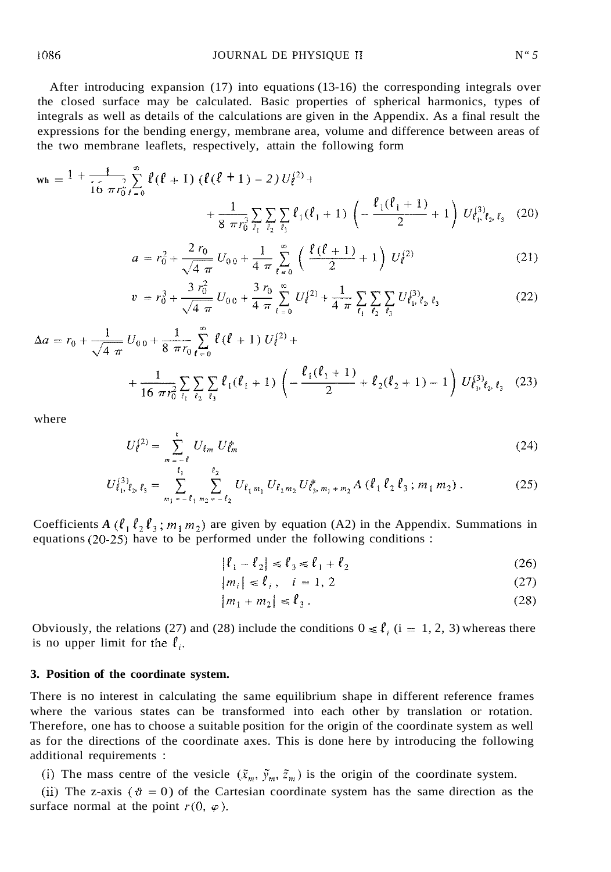$$
w_{h} = \frac{1 + \frac{1}{16} \sum_{\ell=0}^{\infty} \ell(\ell+1) (\ell(\ell+1) - 2) U_{\ell}^{(2)} + \frac{1}{8 \pi r_{0}^{3} \ell_{1} \ell_{2} \ell_{3}} + \frac{1}{8 \pi r_{0}^{3} \ell_{1} \ell_{2} \ell_{3}} \sum_{\ell_{3}} \sum_{\ell_{3}} \ell_{1}(\ell_{1} + 1) \left( -\frac{\ell_{1}(\ell_{1} + 1)}{2} + 1 \right) U_{\ell_{1} \ell_{2} \ell_{3} \ell_{3}}^{(3)} (20)
$$

$$
a = r_0^2 + \frac{2 r_0}{\sqrt{4 \pi}} U_{00} + \frac{1}{4 \pi} \sum_{\ell=0}^{\infty} \left( \frac{\ell (\ell+1)}{2} + 1 \right) U_{\ell}^{(2)} \tag{21}
$$

$$
v = r_0^3 + \frac{3 r_0^2}{\sqrt{4 \pi}} U_{00} + \frac{3 r_0}{4 \pi} \sum_{\ell=0}^{\infty} U_{\ell}^{(2)} + \frac{1}{4 \pi} \sum_{\ell_1} \sum_{\ell_2} \sum_{\ell_3} U_{\ell_1, \ell_2, \ell_3}^{(3)} \tag{22}
$$

$$
\Delta a = r_0 + \frac{1}{\sqrt{4 \pi}} U_{0.0} + \frac{1}{8 \pi r_0} \sum_{\ell=0}^{\infty} \ell (\ell+1) U_{\ell}^{(2)} + \\ + \frac{1}{16 \pi r_0^2} \sum_{\ell_1} \sum_{\ell_2} \sum_{\ell_3} \ell_1 (\ell_1+1) \left( -\frac{\ell_1 (\ell_1+1)}{2} + \ell_2 (\ell_2+1) - 1 \right) U_{\ell_1, \ell_2, \ell_3}^{(3)} \tag{23}
$$

where

$$
U_{\ell}^{(2)} = \sum_{m = -\ell} U_{\ell m} U_{\ell m}^* \tag{24}
$$

$$
U_{\ell_1,\ell_2,\ell_3}^{(3)} = \sum_{m_1=-\ell_1}^{\ell_1} \sum_{m_2=-\ell_2}^{\ell_2} U_{\ell_1,m_1} U_{\ell_2,m_2} U_{\ell_3,m_1+m_2}^* A (\ell_1 \ell_2 \ell_3; m_1 m_2).
$$
 (25)

Coefficients *A* ( $\ell_1 \ell_2 \ell_3$ ;  $m_1 m_2$ ) are given by equation (A2) in the Appendix. Summations in equations *(20-25)* have to be performed under the following conditions :

$$
|\ell_1 - \ell_2| \le \ell_3 \le \ell_1 + \ell_2 \tag{26}
$$

$$
|m_i| \le \ell_i, \quad i = 1, 2 \tag{27}
$$

$$
|m_1 + m_2| \leq \ell_3. \tag{28}
$$

Obviously, the relations (27) and (28) include the conditions  $0 \le \ell_i$  (i = 1, 2, 3) whereas there is no upper limit for the  $l_i$ .

### **3. Position of the coordinate system.**

 $\mathbf{r}$ 

There is no interest in calculating the same equilibrium shape in different reference frames where the various states can be transformed into each other by translation or rotation. Therefore, one has to choose a suitable position for the origin of the coordinate system as well as for the directions of the coordinate axes. This is done here by introducing the following additional requirements :

(i) The mass centre of the vesicle  $(\tilde{x}_m, \tilde{y}_m, \tilde{z}_m)$  is the origin of the coordinate system.

(ii) The z-axis ( $\vartheta = 0$ ) of the Cartesian coordinate system has the same direction as the surface normal at the point  $r(0, \varphi)$ .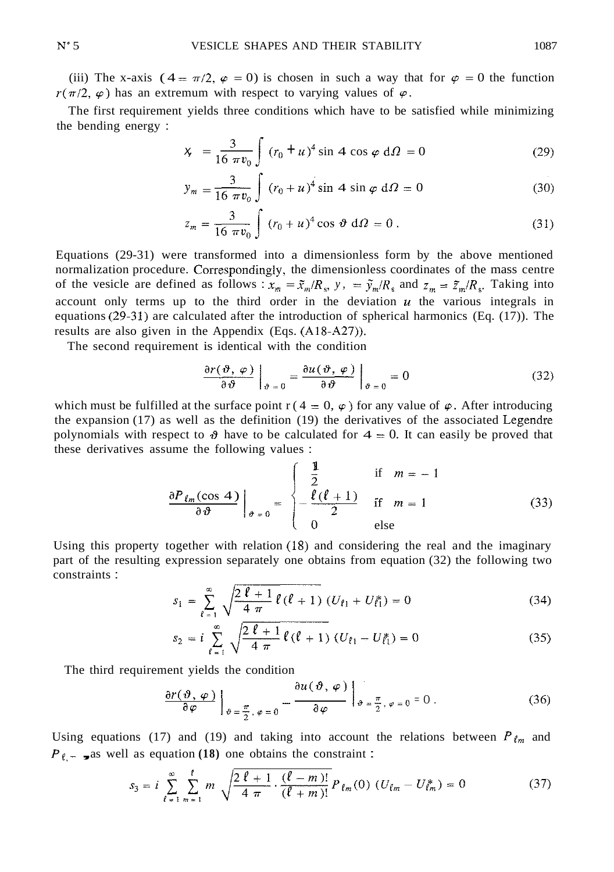(iii) The x-axis ( $4 = \pi/2$ ,  $\varphi = 0$ ) is chosen in such a way that for  $\varphi = 0$  the function  $r(\pi/2, \varphi)$  has an extremum with respect to varying values of  $\varphi$ .

The first requirement yields three conditions which have to be satisfied while minimizing the bending energy :

$$
\pi/2, \varphi = 0
$$
 is chosen in such a way that for  $\varphi = 0$  the function  
num with respect to varying values of  $\varphi$ .  
yields three conditions which have to be satisfied while minimizing  

$$
x_{\tau} = \frac{3}{16 \pi v_0} \int_{0}^{\infty} (r_0 + u)^4 \sin 4 \cos \varphi d\Omega = 0
$$
 (29)

$$
y_m = \frac{3}{16 \pi v_0} \int (r_0 + u)^4 \sin 4 \sin \varphi d\Omega = 0
$$
 (30)

$$
z_m = \frac{3}{16 \pi v_0} \int (r_0 + u)^4 \cos \vartheta \, d\Omega = 0 \,. \tag{31}
$$

Equations (29-31) were transformed into a dimensionless form by the above mentioned normalization procedure. Correspondingly, the dimensionless coordinates of the mass centre<br>of the vesicle are defined as follows:  $x = \tilde{z}/R$ ,  $y = \tilde{y}/R$ , and  $z = \tilde{z}/R$ . Taking into of the vesicle are defined as follows :  $x_m = \tilde{x}_m/R_s$ ,  $y_r = \tilde{y}_m/R_s$  and  $z_m = \tilde{z}_m/R_s$ . Taking into account only terms up to the third order in the deviation  $u$  the various integrals in equations  $(29-31)$  are calculated after the introduction of spherical harmonics (Eq. (17)). The results are also given in the Appendix (Eqs. (A18-A27)).

The second requirement is identical with the condition

$$
\frac{\partial r(\vartheta, \varphi)}{\partial \vartheta}\bigg|_{\vartheta = 0} = \frac{\partial u(\vartheta, \varphi)}{\partial \vartheta}\bigg|_{\vartheta = 0} = 0 \tag{32}
$$

which must be fulfilled at the surface point  $r(4 = 0, \varphi)$  for any value of  $\varphi$ . After introducing the expansion (17) as well as the definition (19) the derivatives of the associated Legendre polynomials with respect to  $\vartheta$  have to be calculated for  $4 = 0$ . It can easily be proved that these derivatives assume the following values :

$$
\frac{\partial P_{\ell_m}(\cos 4)}{\partial \vartheta}\Big|_{\vartheta=0} = \begin{cases} \frac{1}{2} & \text{if } m=-1\\ -\frac{\ell(\ell+1)}{2} & \text{if } m=1\\ 0 & \text{else} \end{cases}
$$
(33)

Using this property together with relation (18) and considering the real and the imaginary part of the resulting expression separately one obtains from equation (32) the following two constraints :

$$
s_1 = \sum_{\ell=1}^{\infty} \sqrt{\frac{2\,\ell+1}{4\,\pi}\,\ell\,(\ell+1)}\,\left(U_{\ell 1} + U_{\ell 1}^*\right) = 0\tag{34}
$$

$$
s_2 = i \sum_{\ell=1}^{\infty} \sqrt{\frac{2\,\ell+1}{4\,\pi} \,\ell\,(\ell+1)} \,(U_{\ell 1} - U_{\ell 1}^*) = 0 \tag{35}
$$

The third requirement yields the condition

$$
\frac{\partial r(\vartheta,\varphi)}{\partial \varphi}\bigg|_{\vartheta=\frac{\pi}{2},\varphi=0} = \frac{\partial u(\vartheta,\varphi)}{\partial \varphi}\bigg|_{\vartheta=\frac{\pi}{2},\varphi=0} = 0.
$$
 (36)

Using equations (17) and (19) and taking into account the relations between  $P_{\ell_m}$  and  $P_{\ell}$  – **,** as well as equation (18) one obtains the constraint :

$$
s_3 = i \sum_{\ell=1}^{\infty} \sum_{m=1}^{\ell} m \sqrt{\frac{2\,\ell+1}{4\,\pi} \cdot \frac{(\ell-m)!}{(\ell+m)!}} P_{\ell m}(0) \, (U_{\ell m} - U_{\ell m}^*) = 0 \tag{37}
$$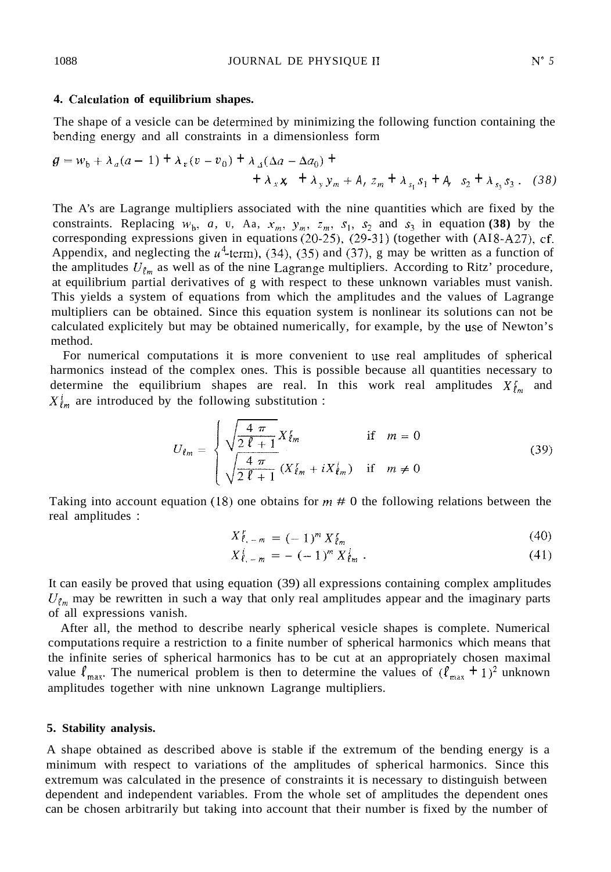# **4. Calcutation of equilibrium shapes.**

The shape of a vesicle can be determined by minimizing the following function containing the bcnding energy and all constraints in a dimensionless form

$$
g = w_b + \lambda_a (a - 1) + \lambda_v (v - v_0) + \lambda_A (\Delta a - \Delta a_0) +
$$
  
+  $\lambda_x \mathbf{x} + \lambda_y y_m + \Delta z_m + \lambda_{s_1} s_1 + \Delta_{s_2} s_2 + \lambda_{s_3} s_3$ . (38)

The A's are Lagrange multipliers associated with the nine quantities which are fixed by the constraints. Replacing  $w_b$ , *a*, *u*, Aa,  $x_m$ ,  $y_m$ ,  $z_m$ ,  $s_1$ ,  $s_2$  and  $s_3$  in equation (38) by the corresponding expressions given in equations (20-25), (29-31) (together with (AI8-A27), cf. Appendix, and neglecting the  $u^4$ -term), (34), (35) and (37), g may be written as a function of the amplitudes  $U_{\ell m}$  as well as of the nine Lagrange multipliers. According to Ritz' procedure, at equilibrium partial derivatives of g with respect to these unknown variables must vanish. This yields a system of equations from which the amplitudes and the values of Lagrange multipliers can be obtained. Since this equation system is nonlinear its solutions can not be calculated explicitely but may be obtained numerically, for example, by the use of Newton's method.

For numerical computations it is more convenient to use real amplitudes of spherical harmonics instead of the complex ones. This is possible because all quantities necessary to determine the equilibrium shapes are real. In this work real amplitudes  $X_{\ell,m}^r$  and  $X_{\ell m}^{i}$  are introduced by the following substitution :

$$
U_{\ell m} = \begin{cases} \sqrt{\frac{4 \pi}{2 \ell + 1}} X_{\ell m} & \text{if } m = 0\\ \sqrt{\frac{4 \pi}{2 \ell + 1}} (X_{\ell m} + i X_{\ell m}) & \text{if } m \neq 0 \end{cases}
$$
 (39)

Taking into account equation (18) one obtains for *m* # 0 the following relations between the real amplitudes :

$$
X_{\ell,-m}^r = (-1)^m X_{\ell m}^r \tag{40}
$$

$$
X_{\ell,-m}^{i} = (-1)^{m} X_{\ell m}^{i}
$$
\n
$$
(41)
$$

It can easily be proved that using equation (39) all expressions containing complex amplitudes  $U_{\ell_m}$  may be rewritten in such a way that only real amplitudes appear and the imaginary parts of all expressions vanish.

After all, the method to describe nearly spherical vesicle shapes is complete. Numerical computations require a restriction to a finite number of spherical harmonics which means that the infinite series of spherical harmonics has to be cut at an appropriately chosen maximal value  $\ell_{\text{max}}$ . The numerical problem is then to determine the values of  $(\ell_{\text{max}} + 1)^2$  unknown amplitudes together with nine unknown Lagrange multipliers.

#### **5. Stability analysis.**

A shape obtained as described above is stable if the extremum of the bending energy is a minimum with respect to variations of the amplitudes of spherical harmonics. Since this extremum was calculated in the presence of constraints it is necessary to distinguish between dependent and independent variables. From the whole set of amplitudes the dependent ones can be chosen arbitrarily but taking into account that their number is fixed by the number of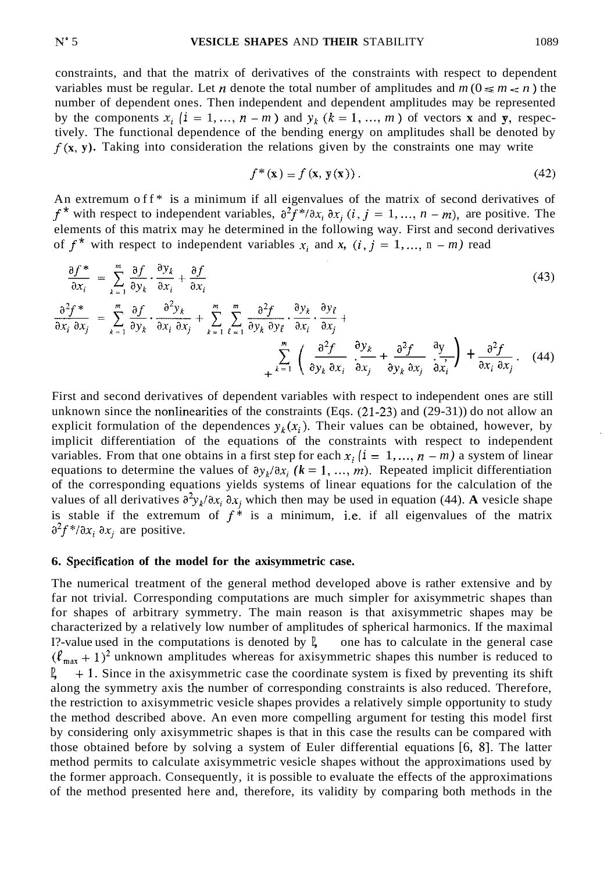constraints, and that the matrix of derivatives of the constraints with respect to dependent variables must be regular. Let *n* denote the total number of amplitudes and  $m (0 \le m < n)$  the number of dependent ones. Then independent and dependent amplitudes may be represented by the components  $x_i$  (i = 1, ...,  $n - m$ ) and  $y_k$  ( $k = 1, ..., m$ ) of vectors **x** and **y**, respectively. The functional dependence of the bending energy on amplitudes shall be denoted by  $f(x, y)$ . Taking into consideration the relations given by the constraints one may write

$$
f^*(\mathbf{x}) = f(\mathbf{x}, \mathbf{y}(\mathbf{x})). \tag{42}
$$

An extremum of  $f^*$  is a minimum if all eigenvalues of the matrix of second derivatives of  $f^*$  with respect to independent variables,  $\partial^2 \tilde{f}^* / \partial x_i \partial x_j$  (*i*, *j* = 1, ..., *n* - *m*), are positive. The elements of this matrix may he determined in the following way. First and second derivatives of  $f^*$  with respect to independent variables  $x_i$  and  $x$ ,  $(i, j = 1, ..., n - m)$  read

$$
\frac{\partial f^*}{\partial x_i} = \sum_{k=1}^m \frac{\partial f}{\partial y_k} \cdot \frac{\partial y_k}{\partial x_i} + \frac{\partial f}{\partial x_i}
$$
\n
$$
\frac{\partial^2 f^*}{\partial x_i \partial x_j} = \sum_{k=1}^m \frac{\partial f}{\partial y_k} \cdot \frac{\partial^2 y_k}{\partial x_i \partial x_j} + \sum_{k=1}^m \sum_{\ell=1}^m \frac{\partial^2 f}{\partial y_k \partial y_\ell} \cdot \frac{\partial y_k}{\partial x_i} \cdot \frac{\partial y_\ell}{\partial x_j} + \sum_{\ell=1}^m \left( \frac{\partial^2 f}{\partial y_k \partial x_i} \cdot \frac{\partial y_k}{\partial x_j} + \frac{\partial^2 f}{\partial y_k \partial x_j} \cdot \frac{\partial y_k}{\partial x_j} + \frac{\partial^2 f}{\partial x_i \partial x_j} \cdot \frac{\partial y_k}{\partial x_i} \right) + \frac{\partial^2 f}{\partial x_i \partial x_j} \cdot (44)
$$
\n(43)

First and second derivatives of dependent variables with respect to independent ones are still unknown since the nonlinearities of the constraints (Eqs. (21-23) and (29-31)) do not allow an explicit formulation of the dependences  $y_k(x_i)$ . Their values can be obtained, however, by implicit differentiation of the equations of the constraints with respect to independent variables. From that one obtains in a first step for each  $x_i$   $(i = 1, ..., n - m)$  a system of linear equations to determine the values of  $\partial y_k/\partial x_i$  ( $k = 1, ..., m$ ). Repeated implicit differentiation of the corresponding equations yields systems of linear equations for the calculation of the values of all derivatives  $\partial^2 y_k/\partial x_i \partial x_j$  which then may be used in equation (44). A vesicle shape is stable if the extremum of  $f^*$  is a minimum, i.e. if all eigenvalues of the matrix  $\partial^2 f^* / \partial x_i \partial x_j$  are positive.

#### **6. Specifieation of the model for the axisymmetric case.**

The numerical treatment of the general method developed above is rather extensive and by far not trivial. Corresponding computations are much simpler for axisymmetric shapes than for shapes of arbitrary symmetry. The main reason is that axisymmetric shapes may be characterized by a relatively low number of amplitudes of spherical harmonics. If the maximal I?-value used in the computations is denoted by  $\mathbb{I}$ , one has to calculate in the general case  $(\ell_{\text{max}} + 1)^2$  unknown amplitudes whereas for axisymmetric shapes this number is reduced to  $\mathbb{I}$ , + 1. Since in the axisymmetric case the coordinate system is fixed by preventing its shift along the symmetry axis the number of corresponding constraints is also reduced. Therefore, the restriction to axisymmetric vesicle shapes provides a relatively simple opportunity to study the method described above. An even more compelling argument for testing this model first by considering only axisymmetric shapes is that in this case the results can be compared with those obtained before by solving a system of Euler differential equations [6, 81. The latter method permits to calculate axisymmetric vesicle shapes without the approximations used by the former approach. Consequently, it is possible to evaluate the effects of the approximations of the method presented here and, therefore, its validity by comparing both methods in the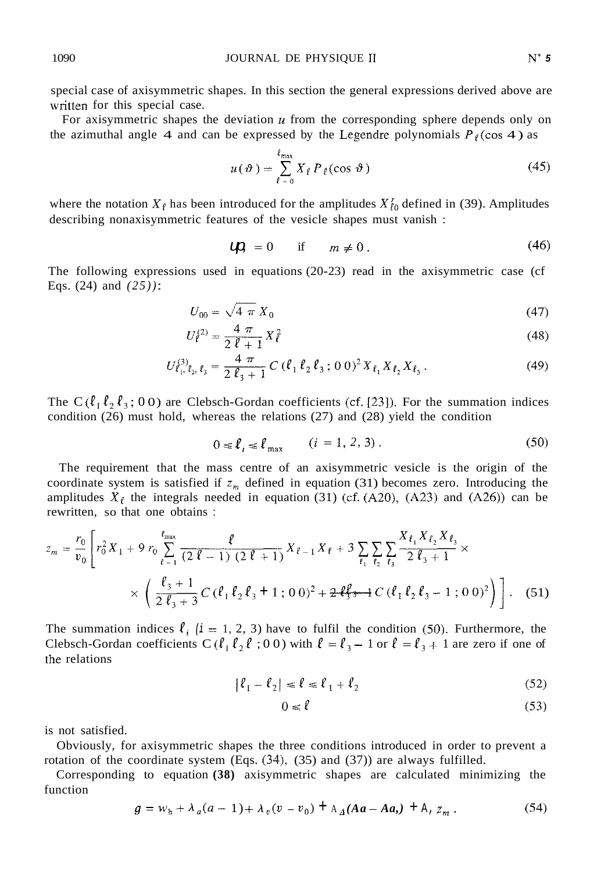special case of axisymmetric shapes. In this section the general expressions derived above are written for this special case.

For axisymmetric shapes the deviation *u* from the corresponding sphere depends only on the azimuthal angle 4 and can be expressed by the Legendre polynomials  $P_{\ell}(\cos 4)$  as

$$
u(\vartheta) = \sum_{\ell=0}^{\ell_{\max}} X_{\ell} P_{\ell}(\cos \vartheta)
$$
 (45)

where the notation  $X_{\ell}$  has been introduced for the amplitudes  $X'_{\ell}$  defined in (39). Amplitudes describing nonaxisymmetric features of the vesicle shapes must vanish :

$$
U\hspace{-.67em}\mathbf{D} = 0 \quad \text{if} \quad m \neq 0. \tag{46}
$$

The following expressions used in equations (20-23) read in the axisymmetric case (cf Eqs. (24) and *(25))* :

$$
U_{00} = \sqrt{4 \pi} X_0 \tag{47}
$$

$$
U_{\ell}^{(2)} = \frac{4 \pi}{2 \ell + 1} X_{\ell}^{2} \tag{48}
$$

$$
U_{\ell_1,\ell_2,\ell_3}^{(3)} = \frac{4\pi}{2\,\ell_3+1}\,C\,(\ell_1\,\ell_2\,\ell_3\,;\,0\,0)^2\,X_{\ell_1}\,X_{\ell_2}\,X_{\ell_3}\,. \tag{49}
$$

The  $C(\ell_1 \ell_2 \ell_3; 0 \, 0)$  are Clebsch-Gordan coefficients (cf. [23]). For the summation indices condition (26) must hold, whereas the relations (27) and (28) yield the condition

$$
0 \le \ell_i \le \ell_{\max} \qquad (i = 1, 2, 3). \tag{50}
$$

The requirement that the mass centre of an axisymmetric vesicle is the origin of the coordinate system is satisfied if  $z_m$  defined in equation (31) becomes zero. Introducing the amplitudes  $X_{\ell}$  the integrals needed in equation (31) (cf. (A20), (A23) and (A26)) can be rewritten, so that one obtains :

$$
z_{m} = \frac{r_{0}}{v_{0}} \left[ r_{0}^{2} X_{1} + 9 r_{0} \sum_{\ell=1}^{\ell_{\text{max}}} \frac{\ell}{(2 \ell - 1) (2 \ell + 1)} X_{\ell - 1} X_{\ell} + 3 \sum_{\ell_{1}} \sum_{\ell_{2}} \sum_{\ell_{3}} \frac{X_{\ell_{1}} X_{\ell_{2}} X_{\ell_{3}}}{2 \ell_{3} + 1} \times \right] \times \left( \frac{\ell_{3} + 1}{2 \ell_{3} + 3} C \left( \ell_{1} \ell_{2} \ell_{3} + 1 ; 00 \right)^{2} + 2 \ell_{3}^{\ell} \rightarrow C \left( \ell_{1} \ell_{2} \ell_{3} - 1 ; 00 \right)^{2} \right) \right]. \tag{51}
$$

The summation indices  $\ell_i$  ( $i = 1, 2, 3$ ) have to fulfil the condition (50). Furthermore, the Clebsch-Gordan coefficients C ( $\ell_1 \ell_2 \ell$ ; 00) with  $\ell = \ell_3 - 1$  or  $\ell = \ell_3 + 1$  are zero if one of the relations

$$
|\ell_1 - \ell_2| \le \ell \le \ell_1 + \ell_2 \tag{52}
$$

$$
0 \le \ell \tag{53}
$$

is not satisfied.

rotation of the coordinate system  $(Eqs. (34), (35)$  and  $(37))$  are always fulfilled. Obviously, for axisymmetric shapes the three conditions introduced in order to prevent a

function Corresponding to equation **(38)** axisymmetric shapes are calculated minimizing the

$$
g = w_b + \lambda_a (a - 1) + \lambda_v (v - v_0) + \lambda_A (Aa - Aa) + \lambda_z z_m.
$$
 (54)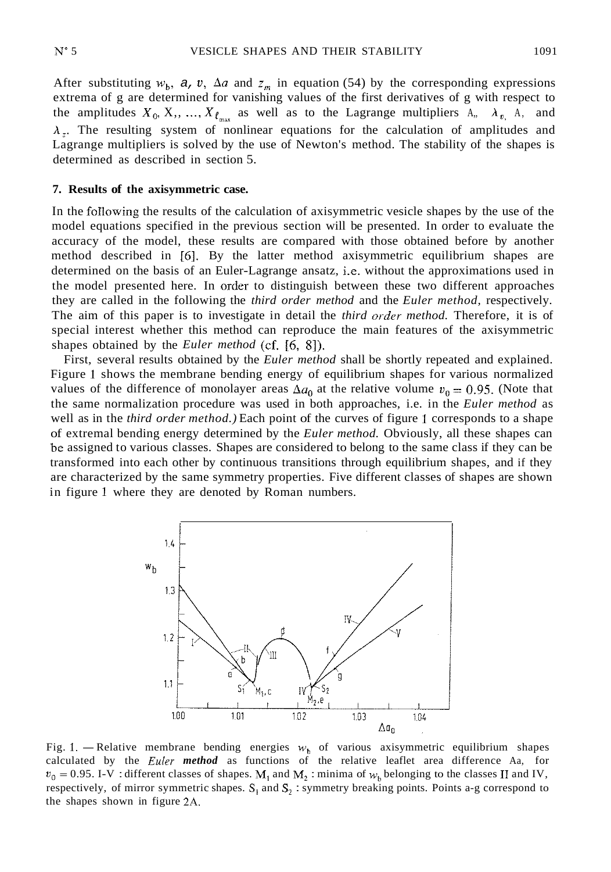After substituting  $w_b$ , *a*, *v*,  $\Delta a$  and  $z_m$  in equation (54) by the corresponding expressions extrema of g are determined for vanishing values of the first derivatives of g with respect to the amplitudes  $X_0, X_1, ..., X_{\ell_{\text{max}}}$  as well as to the Lagrange multipliers  $A_n$ ,  $\lambda_{v_n}$ ,  $\lambda_n$ , and  $\lambda$ . The resulting system of nonlinear equations for the calculation of amplitudes and Lagrange multipliers is solved by the use of Newton's method. The stability of the shapes is determined as described in section 5.

## **7. Results of the axisymmetric case.**

In the foIlowing the results of the calculation of axisymmetric vesicle shapes by the use of the model equations specified in the previous section will be presented. In order to evaluate the accuracy of the model, these results are compared with those obtained before by another method described in *[6].* By the latter method axisymmetric equilibrium shapes are determined on the basis of an Euler-Lagrange ansatz, i.e. without the approximations used in the model presented here. In order to distinguish between these two different approaches they are called in the following the *third order method* and the *Euler method,* respectively. The aim of this paper is to investigate in detail the *third order method*. Therefore, it is of special interest whether this method can reproduce the main features of the axisymmetric shapes obtained by the *Euler method* (cf. *[6,* 81).

First, several results obtained by the *Euler method* shall be shortly repeated and explained. Figure 1 shows the membrane bending energy of equilibrium shapes for various normalized values of the difference of monolayer areas  $\Delta a_0$  at the relative volume  $v_0 = 0.95$ . (Note that the same normalization procedure was used in both approaches, i.e. in the *Euler method* as well as in the *third order method.)* Each point of the curves of figure 1 corresponds to a shape of extremal bending energy determined by the *Euler method.* Obviously, all these shapes can be assigned to various classes. Shapes are considered to belong to the same class if they can be transformed into each other by continuous transitions through equilibrium shapes, and if they are characterized by the same symmetry properties. Five different classes of shapes are shown in figure 1 where they are denoted by Roman numbers.



calculated by the *Euler. method* as functions of the relative leaflet area difference Aa, for  $v_0 = 0.95$ . I-V : different classes of shapes. M<sub>1</sub> and M<sub>2</sub> : minima of  $w_b$  belonging to the classes II and IV, respectively, of mirror symmetric shapes.  $S_i$  and  $S_2$ : symmetry breaking points. Points a-g correspond to the shapes shown in figure 2A.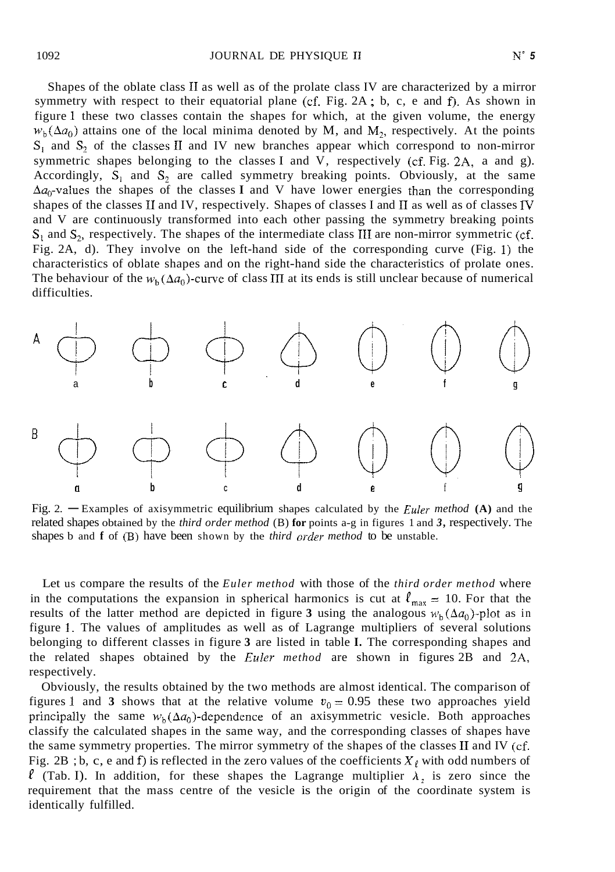Shapes of the oblate class I1 as well as of the prolate class IV are characterized by a mirror symmetry with respect to their equatorial plane (cf. Fig. 2A ; b, c, e and **f).** As shown in figure **1** these two classes contain the shapes for which, at the given volume, the energy  $w_b(\Delta a_0)$  attains one of the local minima denoted by M, and M<sub>2</sub>, respectively. At the points  $S_1$  and  $S_2$  of the classes II and IV new branches appear which correspond to non-mirror symmetric shapes belonging to the classes I and V, respectively (cf. Fig. 2A, a and g). Accordingly,  $\overline{S}_1$  and  $S_2$  are called symmetry breaking points. Obviously, at the same  $\Delta a_0$ -values the shapes of the classes **I** and V have lower energies than the corresponding shapes of the classes II and IV, respectively. Shapes of classes I and II as well as of classes IV and V are continuously transformed into each other passing the symmetry breaking points  $S_1$  and  $S_2$ , respectively. The shapes of the intermediate class III are non-mirror symmetric (cf. Fig. 2A, d). They involve on the left-hand side of the corresponding curve (Fig. 1) the characteristics of oblate shapes and on the right-hand side the characteristics of prolate ones. The behaviour of the  $w_b(\Delta a_0)$ -curve of class III at its ends is still unclear because of numerical difficulties.



related shapes obtained by the *third order method* (B) **for** points a-g in figures 1 and *3,* respectively. The shapes b and **f** of (B) have been shown by the *third order method* to be unstable.

Let us compare the results of the *Euler method* with those of the *third order method* where in the computations the expansion in spherical harmonics is cut at  $\ell_{\text{max}} = 10$ . For that the results of the latter method are depicted in figure 3 using the analogous  $w<sub>b</sub>(\Delta a_0)$ -plot as in figure 1. The values of amplitudes as well as of Lagrange multipliers of several solutions belonging to different classes in figure **3** are listed in table **I.** The corresponding shapes and the related shapes obtained by the *Euler method* are shown in figures 2B and 2A, respectively.

Obviously, the results obtained by the two methods are almost identical. The comparison of figures 1 and 3 shows that at the relative volume  $v_0 = 0.95$  these two approaches yield principally the same  $w_h(\Delta a_0)$ -dependence of an axisymmetric vesicle. Both approaches classify the calculated shapes in the same way, and the corresponding classes of shapes have the same symmetry properties. The mirror symmetry of the shapes of the classes II and IV (cf. Fig. 2B ; b, c, e and f) is reflected in the zero values of the coefficients  $X_{\ell}$  with odd numbers of  $\ell$  (Tab. I). In addition, for these shapes the Lagrange multiplier  $\lambda_2$  is zero since the requirement that the mass centre of the vesicle is the origin of the coordinate system is identically fulfilled.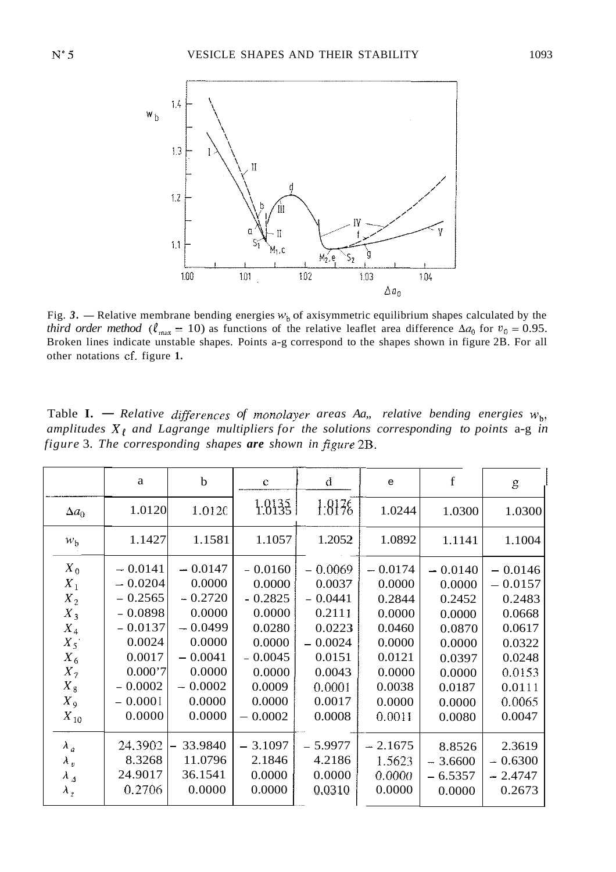

*third order method* ( $\ell_{\text{max}} = 10$ ) as functions of the relative leaflet area difference  $\Delta a_0$  for  $v_0 = 0.95$ . Broken lines indicate unstable shapes. Points a-g correspond to the shapes shown in figure 2B. For all other notations cf. figure **1.** 

| Fig. 3. — Relative membrane bending energies $wb$ of axisymmetric equilibrium shapes calculated by the<br>third order method ( $\ell_{\text{max}} = 10$ ) as functions of the relative leaflet area difference $\Delta a_0$ for $v_0 = 0.95$ .<br>Broken lines indicate unstable shapes. Points a-g correspond to the shapes shown in figure 2B. For all<br>other notations cf. figure 1.<br>Table <b>I.</b> — Relative differences of monolayer areas Aa,, relative bending energies $wb$ ,<br>amplitudes $X_{\ell}$ and Lagrange multipliers for the solutions corresponding to points a-g in<br>figure 3. The corresponding shapes are shown in figure 2B. |           |           |           |           |           |           |           |  |  |
|---------------------------------------------------------------------------------------------------------------------------------------------------------------------------------------------------------------------------------------------------------------------------------------------------------------------------------------------------------------------------------------------------------------------------------------------------------------------------------------------------------------------------------------------------------------------------------------------------------------------------------------------------------------|-----------|-----------|-----------|-----------|-----------|-----------|-----------|--|--|
|                                                                                                                                                                                                                                                                                                                                                                                                                                                                                                                                                                                                                                                               |           |           |           |           |           |           |           |  |  |
| $\Delta a_0$                                                                                                                                                                                                                                                                                                                                                                                                                                                                                                                                                                                                                                                  | 1.0120    | 1.0120    | 1.8135    | 1:8176    | 1.0244    | 1.0300    | 1.0300    |  |  |
| $w_{\rm b}$                                                                                                                                                                                                                                                                                                                                                                                                                                                                                                                                                                                                                                                   | 1.1427    | 1.1581    | 1.1057    | 1.2052    | 1.0892    | 1.1141    | 1.1004    |  |  |
| $X_0$                                                                                                                                                                                                                                                                                                                                                                                                                                                                                                                                                                                                                                                         | $-0.0141$ | $-0.0147$ | $-0.0160$ | $-0.0069$ | $-0.0174$ | $-0.0140$ | $-0.0146$ |  |  |
| $\boldsymbol{X}_1$                                                                                                                                                                                                                                                                                                                                                                                                                                                                                                                                                                                                                                            | $-0.0204$ | 0.0000    | 0.0000    | 0.0037    | 0.0000    | 0.0000    | $-0.0157$ |  |  |
| $\boldsymbol{X}_2$                                                                                                                                                                                                                                                                                                                                                                                                                                                                                                                                                                                                                                            | $-0.2565$ | $-0.2720$ | $-0.2825$ | $-0.0441$ | 0.2844    | 0.2452    | 0.2483    |  |  |
| $X_3$                                                                                                                                                                                                                                                                                                                                                                                                                                                                                                                                                                                                                                                         | $-0.0898$ | 0.0000    | 0.0000    | 0.2111    | 0.0000    | 0.0000    | 0.0668    |  |  |
| $\boldsymbol{X}_4$                                                                                                                                                                                                                                                                                                                                                                                                                                                                                                                                                                                                                                            | $-0.0137$ | $-0.0499$ | 0.0280    | 0.0223    | 0.0460    | 0.0870    | 0.0617    |  |  |
| $X_5$                                                                                                                                                                                                                                                                                                                                                                                                                                                                                                                                                                                                                                                         | 0.0024    | 0.0000    | 0.0000    | $-0.0024$ | 0.0000    | 0.0000    | 0.0322    |  |  |
| $X_6$                                                                                                                                                                                                                                                                                                                                                                                                                                                                                                                                                                                                                                                         | 0.0017    | $-0.0041$ | $-0.0045$ | 0.0151    | 0.0121    | 0.0397    | 0.0248    |  |  |
| $X_7$                                                                                                                                                                                                                                                                                                                                                                                                                                                                                                                                                                                                                                                         | 0.000'7   | 0.0000    | 0.0000    | 0.0043    | 0.0000    | 0.0000    | 0.0153    |  |  |
| $X_{\,8}$                                                                                                                                                                                                                                                                                                                                                                                                                                                                                                                                                                                                                                                     | $-0.0002$ | $-0.0002$ | 0.0009    | 0.0001    | 0.0038    | 0.0187    | 0.0111    |  |  |
| $X_9$                                                                                                                                                                                                                                                                                                                                                                                                                                                                                                                                                                                                                                                         | $-0.0001$ | 0.0000    | 0.0000    | 0.0017    | 0.0000    | 0.0000    | 0.0065    |  |  |
| $X_{10}$                                                                                                                                                                                                                                                                                                                                                                                                                                                                                                                                                                                                                                                      | 0.0000    | 0.0000    | $-0.0002$ | 0.0008    | 0.0011    | 0.0080    | 0.0047    |  |  |
| $\lambda_a$                                                                                                                                                                                                                                                                                                                                                                                                                                                                                                                                                                                                                                                   | 24.3902   | 33.9840   | $-3.1097$ | $-5.9977$ | $-2.1675$ | 8.8526    | 2.3619    |  |  |
| $\lambda_v$                                                                                                                                                                                                                                                                                                                                                                                                                                                                                                                                                                                                                                                   | 8.3268    | 11.0796   | 2.1846    | 4.2186    | 1.5623    | $-3.6600$ | $-0.6300$ |  |  |
| $\lambda$ <sub>4</sub>                                                                                                                                                                                                                                                                                                                                                                                                                                                                                                                                                                                                                                        | 24.9017   | 36.1541   | 0.0000    | 0.0000    | 0.0000    | $-6.5357$ | $-2.4747$ |  |  |
| $\lambda_z$                                                                                                                                                                                                                                                                                                                                                                                                                                                                                                                                                                                                                                                   | 0.2706    | 0.0000    | 0.0000    | 0.0310    | 0.0000    | 0.0000    | 0.2673    |  |  |
|                                                                                                                                                                                                                                                                                                                                                                                                                                                                                                                                                                                                                                                               |           |           |           |           |           |           |           |  |  |

Table **I.**  $\rightarrow$  *Relative differences of monolayer areas Aa,, relative bending energies*  $w_{b}$ , amplitudes  $X_{\ell}$  and Lagrange multipliers for the solutions corresponding to points a-g in *figure* 3. *The corresponding shapes are shown in figure* 2B.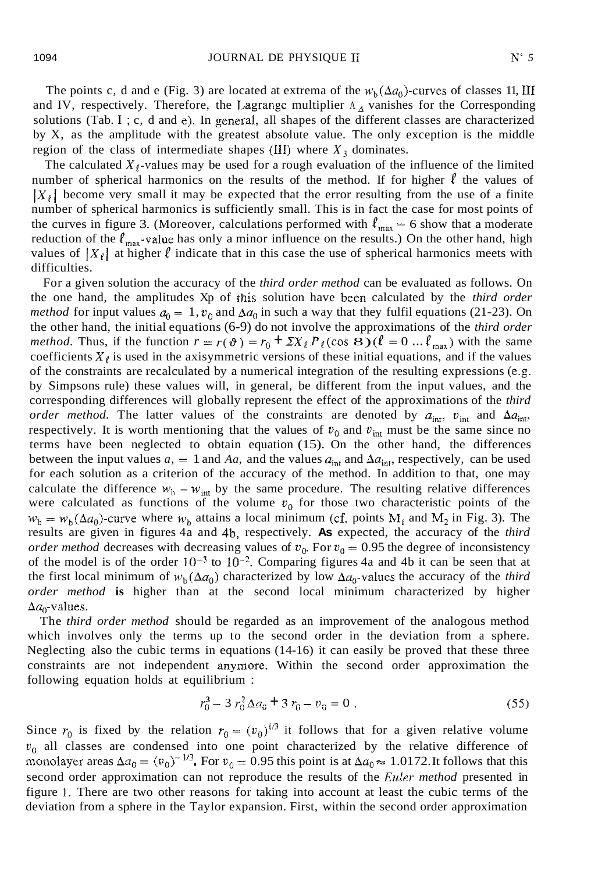The points c, d and e (Fig. 3) are located at extrema of the  $w_b(\Delta a_0)$ -curves of classes 11, III and IV, respectively. Therefore, the Lagrange multiplier  $A_{\Delta}$  vanishes for the Corresponding solutions (Tab. **I** ; c, d and e), In general, all shapes of the different classes are characterized by X, as the amplitude with the greatest absolute value. The only exception is the middle region of the class of intermediate shapes (III) where  $X_3$  dominates.

The calculated  $X_{\ell}$ -values may be used for a rough evaluation of the influence of the limited number of spherical harmonics on the results of the method. If for higher  $\ell$  the values of  $|X_{\ell}|$  become very small it may be expected that the error resulting from the use of a finite number of spherical harmonics is sufficiently small. This is in fact the case for most points of the curves in figure 3. (Moreover, calculations performed with  $\ell_{\text{max}} = 6$  show that a moderate reduction of the  $\ell_{\text{max}}$ -value has only a minor influence on the results.) On the other hand, high values of  $|X_\ell|$  at higher  $\ell$  indicate that in this case the use of spherical harmonics meets with difficulties.

For a given solution the accuracy of the *third order method* can be evaluated as follows. On the one hand, the amplitudes Xp of this solution have been calculated by the *third order method* for input values  $a_0 = 1$ ,  $v_0$  and  $\Delta a_0$  in such a way that they fulfil equations (21-23). On the other hand, the initial equations (6-9) do not involve the approximations of the *third order method.* Thus, if the function  $r = r(\theta) = r_0 + \Sigma X_f P_f(\cos \theta) (\ell = 0 ... \ell_{max})$  with the same coefficients  $X_{\ell}$  is used in the axisymmetric versions of these initial equations, and if the values of the constraints are recalculated by a numerical integration of the resulting expressions (e.g. by Simpsons rule) these values will, in general, be different from the input values, and the corresponding differences will globally represent the effect of the approximations of the *third order method.* The latter values of the constraints are denoted by  $a_{int}$ ,  $v_{int}$  and  $\Delta a_{int}$ , respectively. It is worth mentioning that the values of  $v_0$  and  $v_{\text{int}}$  must be the same since no terms have been neglected to obtain equation (15). On the other hand, the differences between the input values  $a_1 = 1$  and Aa, and the values  $a_{int}$  and  $\Delta a_{int}$ , respectively, can be used for each solution as a criterion of the accuracy of the method. In addition to that, one may calculate the difference  $w_b - w_{\text{int}}$  by the same procedure. The resulting relative differences were calculated as functions of the volume  $v_0$  for those two characteristic points of the  $w_b = w_b(\Delta a_0)$ -curve where  $w_b$  attains a local minimum (cf. points M<sub>1</sub> and M<sub>2</sub> in Fig. 3). The results are given in figures 4a and 4b, respectively. **As** expected, the accuracy of the *third order method* decreases with decreasing values of  $v_0$ . For  $v_0 = 0.95$  the degree of inconsistency of the model is of the order  $10^{-3}$  to  $10^{-2}$ . Comparing figures 4a and 4b it can be seen that at the first local minimum of  $w_b(\Delta a_0)$  characterized by low  $\Delta a_0$ -values the accuracy of the *third order method* **is** higher than at the second local minimum characterized by higher  $\Delta a_0$ -values.

The *third order method* should be regarded as an improvement of the analogous method which involves only the terms up to the second order in the deviation from a sphere. Neglecting also the cubic terms in equations (14-16) it can easily be proved that these three constraints are not independent anymore. Within the second order approximation the following equation holds at equilibrium :

$$
r_0^3 - 3 r_0^2 \Delta a_0 + 3 r_0 - v_0 = 0
$$
 (55)

Since  $r_0$  is fixed by the relation  $r_0 = (v_0)^{1/3}$  it follows that for a given relative volume  $v_0$  all classes are condensed into one point characterized by the relative difference of monolayer areas  $\Delta a_0 = (v_0)^{-1/3}$ . For  $v_0 = 0.95$  this point is at  $\Delta a_0 \approx 1.0172$ . It follows that this second order approximation can not reproduce the results of the *Euler method* presented in figure 1. There are two other reasons for taking into account at least the cubic terms of the deviation from a sphere in the Taylor expansion. First, within the second order approximation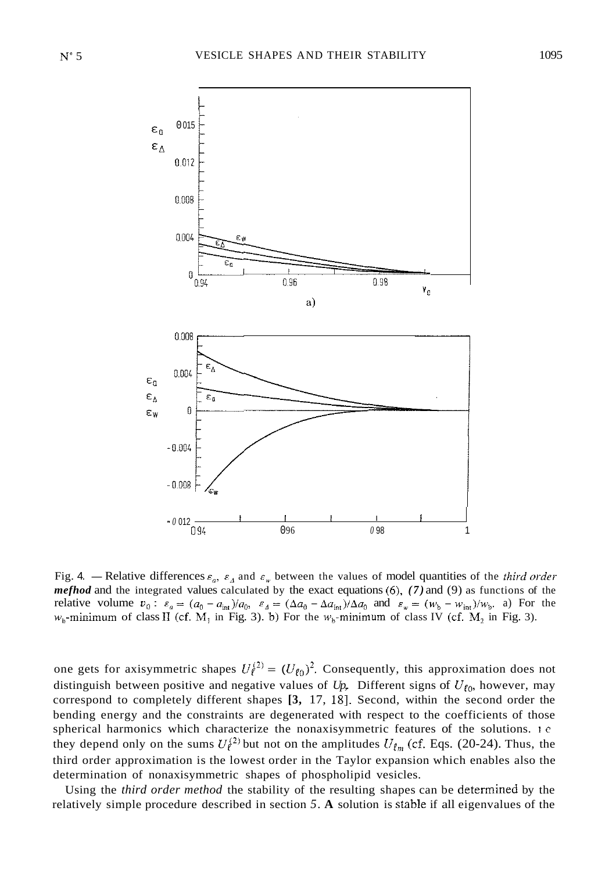

Fig. 4. - Relative differences  $\varepsilon_a$ ,  $\varepsilon_A$  and  $\varepsilon_w$  between the values of model quantities of the *third order mefhod* and the integrated values calculated by the exact equations *(6). (7)* and (9) as functions of the relative volume  $v_0$ :  $\varepsilon_a = (a_0 - a_{\text{int}})/a_0$ ,  $\varepsilon_a = (\Delta a_0 - \Delta a_{\text{int}})/\Delta a_0$  and  $\varepsilon_w = (w_b - w_{\text{int}})/w_b$ . a) For the  $w_{b}$ -minimum of class II (cf. M<sub>1</sub> in Fig. 3). b) For the  $w_{b}$ -minimum of class IV (cf. M<sub>2</sub> in Fig. 3).

one gets for axisymmetric shapes  $U_{\ell}^{(2)} = (U_{\ell 0})^2$ . Consequently, this approximation does not distinguish between positive and negative values of  $Up$ . Different signs of  $U_{\ell_0}$ , however, may correspond to completely different shapes [3, 17, 18]. Second, within the second order the bending energy and the constraints are degenerated with respect to the coefficients of those spherical harmonics which characterize the nonaxisymmetric features of the solutions. I *e*  they depend only on the sums  $U_{\ell}^{(2)}$  but not on the amplitudes  $U_{\ell m}$  (cf. Eqs. (20-24). Thus, the third order approximation is the lowest order in the Taylor expansion which enables also the determination of nonaxisymmetric shapes of phospholipid vesicles.

Using the *third order method* the stability of the resulting shapes can be determined by the relatively simple procedure described in section *5.* **A** solution is stable if all eigenvalues of the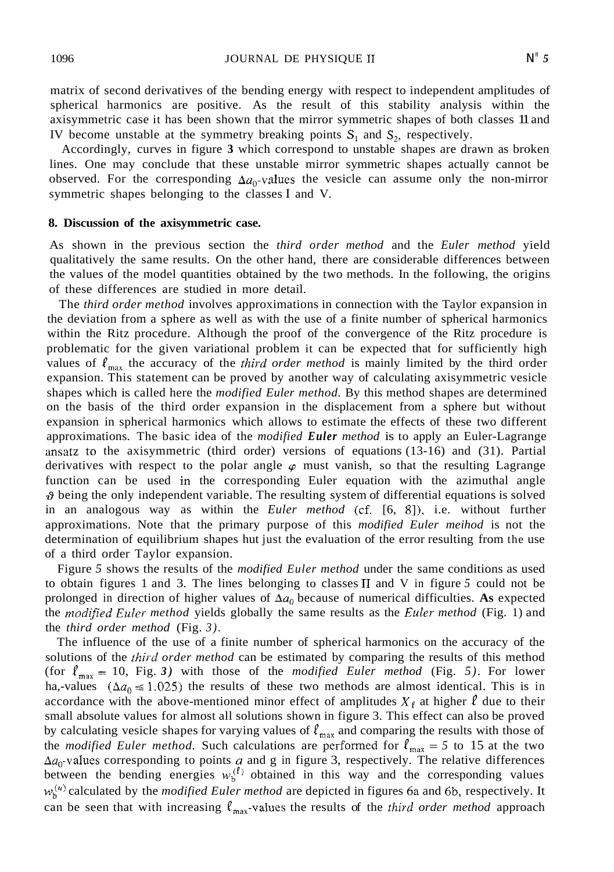matrix of second derivatives of the bending energy with respect to independent amplitudes of spherical harmonics are positive. As the result of this stability analysis within the axisymmetric case it has been shown that the mirror symmetric shapes of both classes 11 and IV become unstable at the symmetry breaking points *S,* and *S,,* respectively.

Accordingly, curves in figure **3** which correspond to unstable shapes are drawn as broken lines. One may conclude that these unstable mirror symmetric shapes actually cannot be observed. For the corresponding  $\Delta a_0$ -values the vesicle can assume only the non-mirror symmetric shapes belonging to the classes I and V.

# **8. Discussion of the axisymmetric case.**

As shown in the previous section the *third order method* and the *Euler method* yield qualitatively the same results. On the other hand, there are considerable differences between the values of the model quantities obtained by the two methods. In the following, the origins of these differences are studied in more detail.

The *third order method* involves approximations in connection with the Taylor expansion in the deviation from a sphere as well as with the use of a finite number of spherical harmonics within the Ritz procedure. Although the proof of the convergence of the Ritz procedure is problematic for the given variational problem it can be expected that for sufficiently high values of  $\ell_{\text{max}}$  the accuracy of the *third order method* is mainly limited by the third order expansion. This statement can be proved by another way of calculating axisymmetric vesicle shapes which is called here the *modified Euler method.* By this method shapes are determined on the basis of the third order expansion in the displacement from a sphere but without expansion in spherical harmonics which allows to estimate the effects of these two different approximations. The basic idea of the *modified Euler method* is to apply an Euler-Lagrange ansatz to the axisymmetric (third order) versions of equations (13-16) and (31). Partial derivatives with respect to the polar angle  $\varphi$  must vanish, so that the resulting Lagrange function can be used in the corresponding Euler equation with the azimuthal angle **19** being the only independent variable. The resulting system of differential equations is solved in an analogous way as within the *Euler method* (cf. [6, S]), i.e. without further approximations. Note that the primary purpose of this *modified Euler meihod* is not the determination of equilibrium shapes hut just the evaluation of the error resulting from the use of a third order Taylor expansion.

Figure *5* shows the results of the *modified Euler method* under the same conditions as used to obtain figures 1 and 3. The lines belonging to classes I1 and V in figure *5* could not be prolonged in direction of higher values of  $\Delta a_0$  because of numerical difficulties. As expected the *modified Euler method* yields globally the same results as the *Euler method* (Fig. 1) and the *third order method* (Fig. *3).* 

The influence of the use of a finite number of spherical harmonics on the accuracy of the solutions of the *fhird order method* can be estimated by comparing the results of this method (for  $\ell_{\text{max}} = 10$ , Fig. 3) with those of the *modified Euler method* (Fig. 5). For lower ha,-values ( $\Delta a_0 \le 1.025$ ) the results of these two methods are almost identical. This is in accordance with the above-mentioned minor effect of amplitudes  $X_{\ell}$  at higher  $\ell$  due to their small absolute values for almost all solutions shown in figure 3. This effect can also be proved by calculating vesicle shapes for varying values of  $\ell_{\max}$  and comparing the results with those of the *modified Euler method.* Such calculations are performed for  $\ell_{\text{max}} = 5$  to 15 at the two  $\Delta a_0$ -values corresponding to points *a* and g in figure 3, respectively. The relative differences between the bending energies  $w_b^{(l)}$  obtained in this way and the corresponding values  $w_b^{(u)}$  calculated by the *modified Euler method* are depicted in figures 6a and 6b, respectively. It can be seen that with increasing  $\ell_{\text{max}}$ -values the results of the *third order method* approach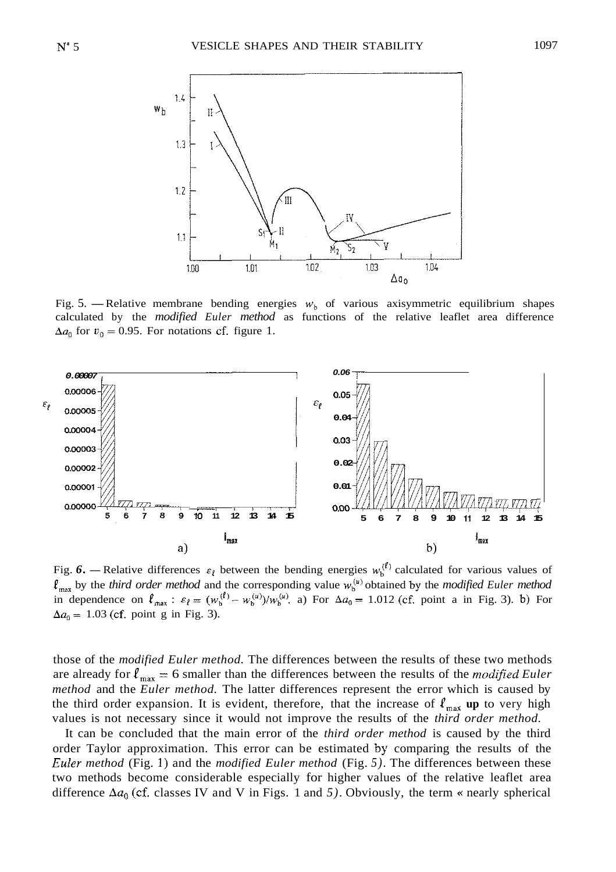

calculated by the *modified Euler method* as functions of the relative leaflet area difference  $\Delta a_0$  for  $v_0 = 0.95$ . For notations cf. figure 1.



 $\ell_{\text{max}}$  by the *third order method* and the corresponding value  $w_b^{(\mu)}$  obtained by the *modified Euler method* in dependence on  $\ell_{\text{max}}$ :  $\varepsilon_{\ell} = (w_b^{(\ell)} - w_b^{(\mu)})/w_b^{(\mu)}$ . a) For  $\Delta a_0 = 1.012$  (cf. point a in Fig. 3). b) For  $\Delta a_0 = 1.03$  (cf. point g in Fig. 3).

those of the *modified Euler method.* The differences between the results of these two methods are already for  $\ell_{\text{max}} = 6$  smaller than the differences between the results of the *modified Euler method* and the *Euler method.* The latter differences represent the error which is caused by the third order expansion. It is evident, therefore, that the increase of  $\ell_{\text{max}}$  up to very high values is not necessary since it would not improve the results of the *third order method.* 

It can be concluded that the main error of the *third order method* is caused by the third order Taylor approximation. This error can be estimated by comparing the results of the *Euler method* (Fig. **1)** and the *modified Euler method* (Fig. *5).* The differences between these two methods become considerable especially for higher values of the relative leaflet area difference  $\Delta a_0$  (cf. classes IV and V in Figs. 1 and 5). Obviously, the term *«* nearly spherical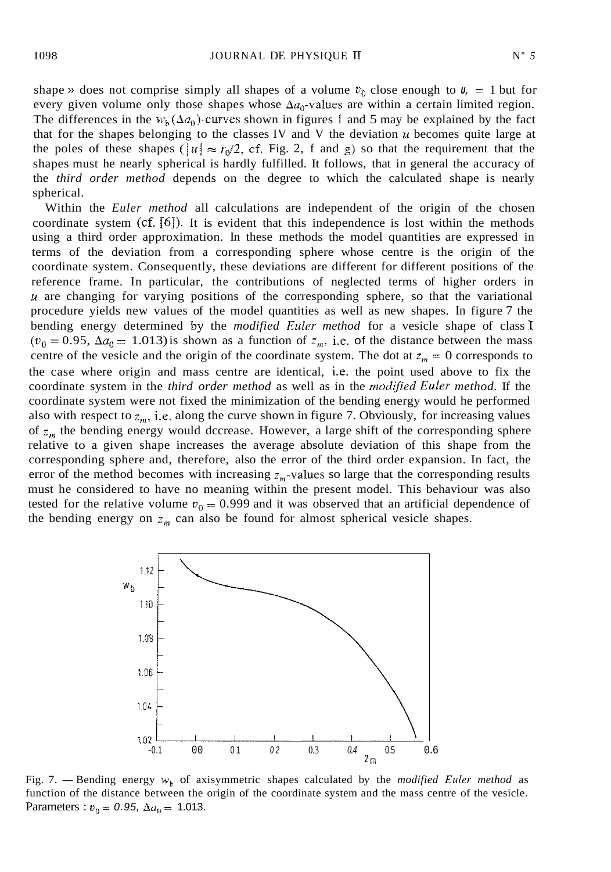shape » does not comprise simply all shapes of a volume  $v_0$  close enough to  $v_0 = 1$  but for every given volume only those shapes whose  $\Delta a_0$ -values are within a certain limited region. The differences in the  $w<sub>b</sub>(\Delta a<sub>0</sub>)$ -curves shown in figures 1 and 5 may be explained by the fact that for the shapes belonging to the classes IV and V the deviation *U* becomes quite large at the poles of these shapes  $(|u| \approx r_0/2$ , cf. Fig. 2, f and g) so that the requirement that the shapes must he nearly spherical is hardly fulfilled. It follows, that in general the accuracy of the *third order method* depends on the degree to which the calculated shape is nearly spherical.

Within the *Euler method* all calculations are independent of the origin of the chosen coordinate system (cf.  $[6]$ ). It is evident that this independence is lost within the methods using a third order approximation. In these methods the model quantities are expressed in terms of the deviation from a corresponding sphere whose centre is the origin of the coordinate system. Consequently, these deviations are different for different positions of the reference frame. In particular, the contributions of neglected terms of higher orders in *<sup>U</sup>*are changing for varying positions of the corresponding sphere, so that the variational procedure yields new values of the model quantities as well as new shapes. In figure 7 the bending energy determined by the *modified Euler method* for a vesicle shape of class I  $(v_0 = 0.95, \Delta a_0 = 1.013)$  is shown as a function of  $z_m$ , i.e. of the distance between the mass centre of the vesicle and the origin of the coordinate system. The dot at  $z_m = 0$  corresponds to the case where origin and mass centre are identical, i.e. the point used above to fix the coordinate system in the *third order method* as well as in the *modified Euler method.* If the coordinate system were not fixed the minimization of the bending energy would he performed also with respect to  $z_m$ , i.e. along the curve shown in figure 7. Obviously, for increasing values of  $z_m$  the bending energy would dccrease. However, a large shift of the corresponding sphere relative to a given shape increases the average absolute deviation of this shape from the corresponding sphere and, therefore, also the error of the third order expansion. In fact, the error of the method becomes with increasing  $z_m$ -values so large that the corresponding results must he considered to have no meaning within the present model. This behaviour was also tested for the relative volume  $v_0 = 0.999$  and it was observed that an artificial dependence of the bending energy on  $z_m$  can also be found for almost spherical vesicle shapes.



function of the distance between the origin of the coordinate system and the mass centre of the vesicle. Parameters :  $v_0 = 0.95$ ,  $\Delta a_0 = 1.013$ .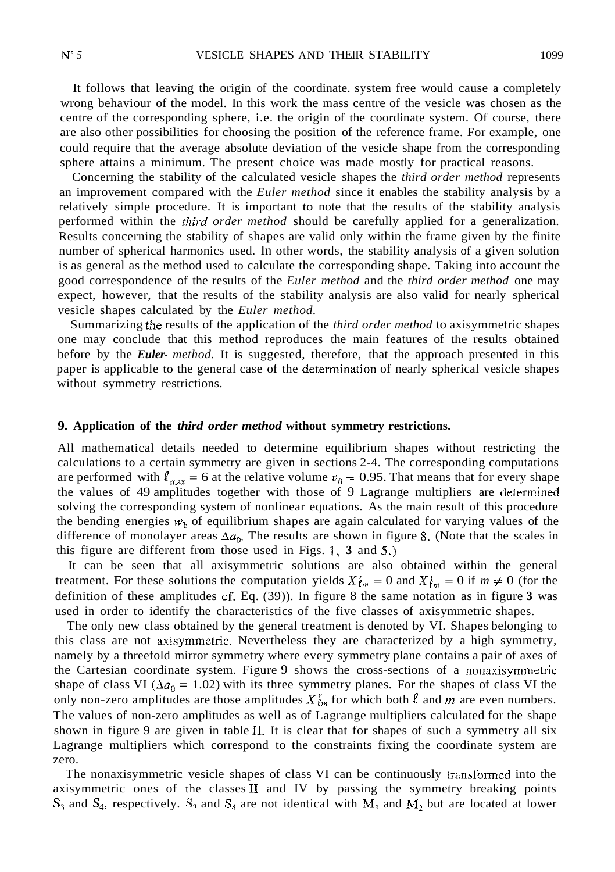It follows that leaving the origin of the coordinate. system free would cause a completely wrong behaviour of the model. In this work the mass centre of the vesicle was chosen as the centre of the corresponding sphere, i.e. the origin of the coordinate system. Of course, there are also other possibilities for choosing the position of the reference frame. For example, one could require that the average absolute deviation of the vesicle shape from the corresponding sphere attains a minimum. The present choice was made mostly for practical reasons.

Concerning the stability of the calculated vesicle shapes the *third order method* represents an improvement compared with the *Euler method* since it enables the stability analysis by a relatively simple procedure. It is important to note that the results of the stability analysis performed within the *third order method* should be carefully applied for a generalization. Results concerning the stability of shapes are valid only within the frame given by the finite number of spherical harmonics used. In other words, the stability analysis of a given solution is as general as the method used to calculate the corresponding shape. Taking into account the good correspondence of the results of the *Euler method* and the *third order method* one may expect, however, that the results of the stability analysis are also valid for nearly spherical vesicle shapes calculated by the *Euler method.* 

Summarizing the results of the application of the *third order method* to axisymmetric shapes one may conclude that this method reproduces the main features of the results obtained before by the *Euler- method.* It is suggested, therefore, that the approach presented in this paper is applicable to the general case of the determination of nearly spherical vesicle shapes without symmetry restrictions.

## **9. Application of the** *third order method* **without symmetry restrictions.**

All mathematical details needed to determine equilibrium shapes without restricting the calculations to a certain symmetry are given in sections 2-4. The corresponding computations are performed with  $\ell_{\text{max}} = 6$  at the relative volume  $v_0 = 0.95$ . That means that for every shape the values of 49 amplitudes together with those of 9 Lagrange multipliers are determined solving the corresponding system of nonlinear equations. As the main result of this procedure the bending energies  $w<sub>b</sub>$  of equilibrium shapes are again calculated for varying values of the difference of monolayer areas  $\Delta a_0$ . The results are shown in figure 8. (Note that the scales in this figure are different from those used in Figs. 1, **3** and *5.)* 

It can be seen that all axisymmetric solutions are also obtained within the general treatment. For these solutions the computation yields  $X_{\ell m}^r = 0$  and  $X_{\ell m}^i = 0$  if  $m \neq 0$  (for the definition of these amplitudes cf. Eq. (39)). In figure 8 the same notation as in figure **3** was used in order to identify the characteristics of the five classes of axisymmetric shapes.

The only new class obtained by the general treatment is denoted by VI. Shapes belonging to this class are not axisymmetric. Nevertheless they are characterized by a high symmetry, namely by a threefold mirror symmetry where every symmetry plane contains a pair of axes of the Cartesian coordinate system. Figure 9 shows the cross-sections of a nonaxisymmetric shape of class VI ( $\Delta a_0 = 1.02$ ) with its three symmetry planes. For the shapes of class VI the only non-zero amplitudes are those amplitudes  $X_{\ell_m}^r$  for which both  $\ell$  and  $m$  are even numbers. The values of non-zero amplitudes as well as of Lagrange multipliers calculated for the shape shown in figure 9 are given in table 11. It is clear that for shapes of such a symmetry all six Lagrange multipliers which correspond to the constraints fixing the coordinate system are zero.

The nonaxisymmetric vesicle shapes of class VI can be continuously transformed into the axisymmetric ones of the classes  $II$  and  $IV$  by passing the symmetry breaking points  $S_3$  and  $S_4$ , respectively.  $S_3$  and  $S_4$  are not identical with  $M_1$  and  $M_2$  but are located at lower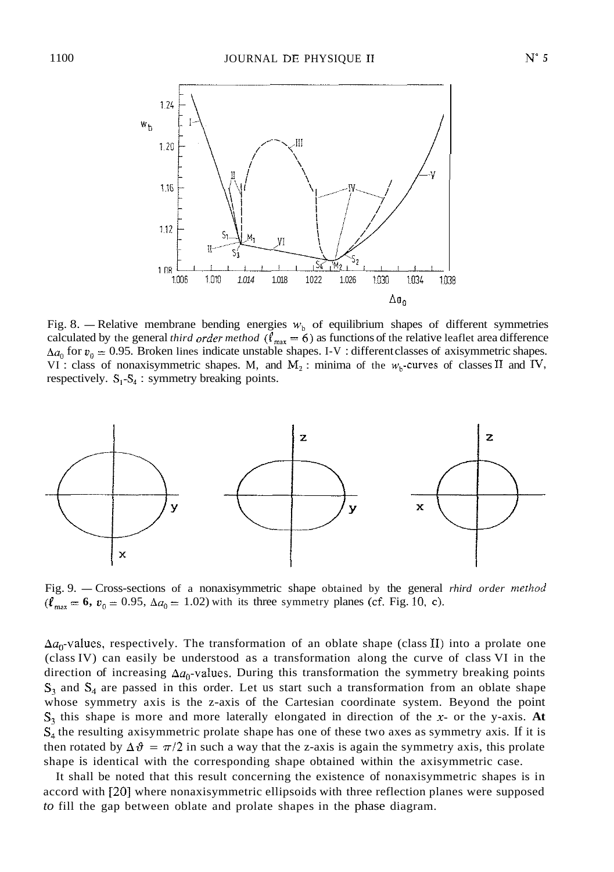

Fig. 8. - Relative membrane bending energies  $w<sub>b</sub>$  of equilibrium shapes of different symmetries calculated by the general *third order method* ( $\ell_{max} = 6$ ) as functions of the relative leaflet area difference  $\Delta a_0$  for  $v_0 = 0.95$ . Broken lines indicate unstable shapes. I-V : different classes of axisymmetric shapes. VI : class of nonaxisymmetric shapes. M, and  $M_2$  : minima of the  $w_b$ -curves of classes II and IV, respectively.  $S_1-S_4$ : symmetry breaking points.



 $(\ell_{\text{max}} = 6, v_0 = 0.95, \Delta a_0 = 1.02)$  with its three symmetry planes (cf. Fig. 10, c).

 $\Delta a_0$ -values, respectively. The transformation of an oblate shape (class II) into a prolate one (class IV) can easily be understood as a transformation along the curve of class VI in the direction of increasing  $\Delta a_0$ -values. During this transformation the symmetry breaking points  $S_3$  and  $S_4$  are passed in this order. Let us start such a transformation from an oblate shape whose symmetry axis is the z-axis of the Cartesian coordinate system. Beyond the point  $S_3$  this shape is more and more laterally elongated in direction of the *x*- or the *y*-axis. At  $S_4$  the resulting axisymmetric prolate shape has one of these two axes as symmetry axis. If it is then rotated by  $\Delta \theta = \pi/2$  in such a way that the z-axis is again the symmetry axis, this prolate shape is identical with the corresponding shape obtained within the axisymmetric case.

It shall be noted that this result concerning the existence of nonaxisymmetric shapes is in accord with *[20]* where nonaxisymmetric ellipsoids with three reflection planes were supposed *to* fill the gap between oblate and prolate shapes in the phase diagram.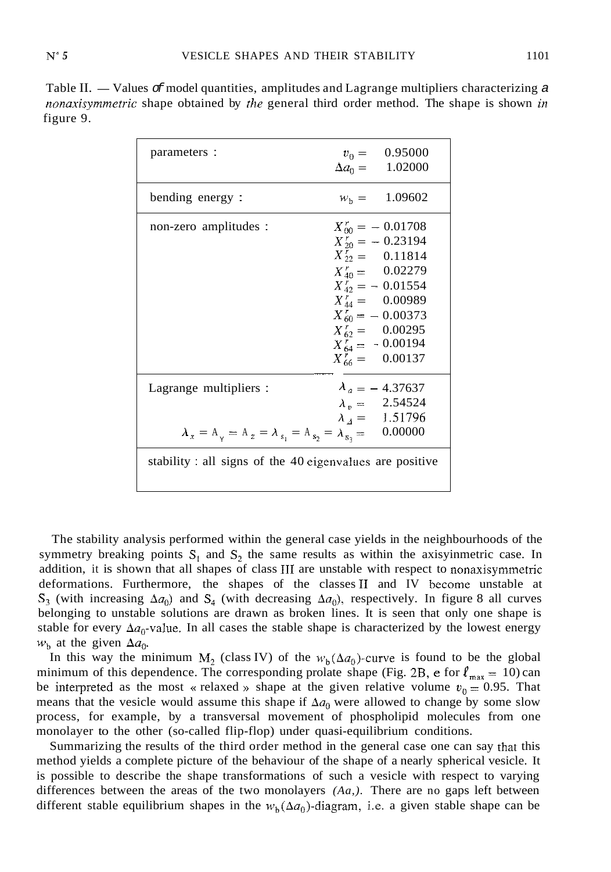Table II. — Values  $\sigma$  model quantities, amplitudes and Lagrange multipliers characterizing a nonaxisymmetric shape obtained by *the* general third order method. The shape is shown in figure 9.

| parameters :                                                                                  | $v_0 = 0.95000$<br>$\Delta a_0 = 1.02000$                                                                                                                                                                                                       |  |  |  |  |  |  |  |
|-----------------------------------------------------------------------------------------------|-------------------------------------------------------------------------------------------------------------------------------------------------------------------------------------------------------------------------------------------------|--|--|--|--|--|--|--|
| bending energy:                                                                               | $W_h = 1.09602$                                                                                                                                                                                                                                 |  |  |  |  |  |  |  |
| non-zero amplitudes :                                                                         | $X_{00}^r = -0.01708$<br>$X'_{20} = -0.23194$<br>$X_{22}^r = 0.11814$<br>$X_{40}^r = 0.02279$<br>$X_{42}^r = -0.01554$<br>$X_{44}^r = 0.00989$<br>$X_{60}^r = -0.00373$<br>$X_{62}^r = 0.00295$<br>$X'_{64} = -0.00194$<br>$X_{66}^r = 0.00137$ |  |  |  |  |  |  |  |
| Lagrange multipliers :<br>$\lambda_x = A_y = A_z = \lambda_{s_1} = A_{s_2} = \lambda_{s_3} =$ | $\lambda_a = -4.37637$<br>$\lambda_p = 2.54524$<br>$\lambda_4 = 1.51796$<br>0.00000                                                                                                                                                             |  |  |  |  |  |  |  |
| stability : all signs of the 40 eigenvalues are positive                                      |                                                                                                                                                                                                                                                 |  |  |  |  |  |  |  |

The stability analysis performed within the general case yields in the neighbourhoods of the symmetry breaking points  $S_1$  and  $S_2$  the same results as within the axisyinmetric case. In addition, it is shown that all shapes of class 111 are unstable with respect to nonaxisymmetric deformations. Furthermore, the shapes of the classes I1 and IV become unstable at  $S_3$  (with increasing  $\Delta a_0$ ) and  $S_4$  (with decreasing  $\Delta a_0$ ), respectively. In figure 8 all curves belonging to unstable solutions are drawn as broken lines. It is seen that only one shape is stable for every  $\Delta a_0$ -value. In all cases the stable shape is characterized by the lowest energy  $w<sub>b</sub>$  at the given  $\Delta a_0$ .

In this way the minimum  $M_2$  (class IV) of the  $w_h(\Delta a_0)$ -curve is found to be the global minimum of this dependence. The corresponding prolate shape (Fig. 2B,  $\epsilon$  for  $\ell_{\text{max}} = 10$ ) can be interpreted as the most « relaxed » shape at the given relative volume  $v_0 = 0.95$ . That means that the vesicle would assume this shape if  $\Delta a_0$  were allowed to change by some slow process, for example, by a transversal movement of phospholipid molecules from one monolayer to the other (so-called flip-flop) under quasi-equilibrium conditions.

Summarizing the results of the third order method in the general case one can say that this method yields a complete picture of the behaviour of the shape of a nearly spherical vesicle. It is possible to describe the shape transformations of such a vesicle with respect to varying differences between the areas of the two monolayers *(Aa,).* There are no gaps left between different stable equilibrium shapes in the  $w<sub>h</sub>(\Delta a_0)$ -diagram, i.e. a given stable shape can be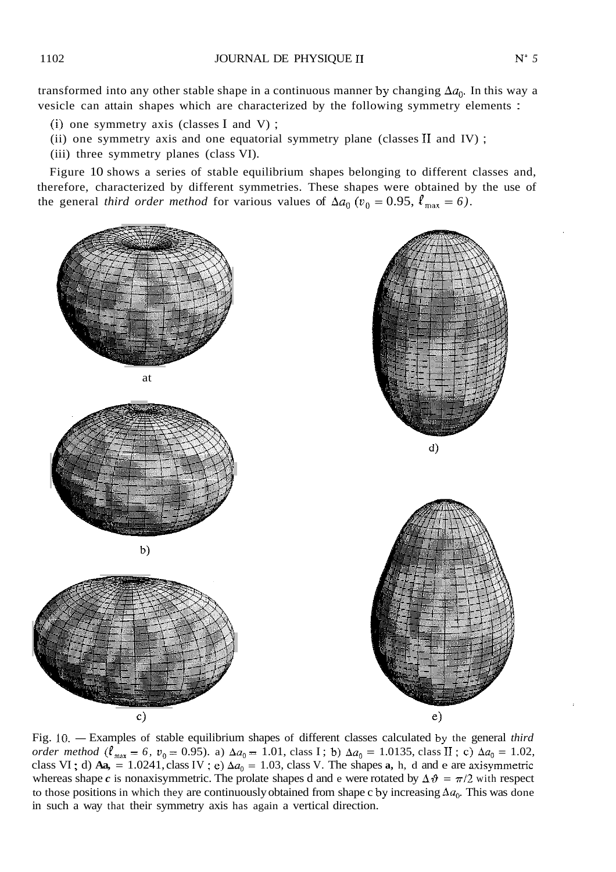transformed into any other stable shape in a continuous manner by changing  $\Delta a_0$ . In this way a vesicle can attain shapes which are characterized by the following symmetry elements :

- (i) one symmetry axis (classes I and V);
- (ii) one symmetry axis and one equatorial symmetry plane (classes I1 and IV) ;
- (iii) three symmetry planes (class VI).

Figure 10 shows a series of stable equilibrium shapes belonging to different classes and, therefore, characterized by different symmetries. These shapes were obtained by the use of the general *third order method* for various values of  $\Delta a_0$  ( $v_0 = 0.95$ ,  $\ell_{\text{max}} = 6$ ).



*order method* ( $\ell_{\text{max}} = 6$ ,  $v_0 = 0.95$ ). a)  $\Delta a_0 = 1.01$ , class I; b)  $\Delta a_0 = 1.0135$ , class II; c)  $\Delta a_0 = 1.02$ , class VI; d)  $Aa$ , = 1.0241, class IV; e)  $\Delta a_0 = 1.03$ , class V. The shapes a, h, d and e are axisymmetric whereas shape *c* is nonaxisymmetric. The prolate shapes d and e were rotated by  $\Delta \vartheta = \pi/2$  with respect to those positions in which they are continuously obtained from shape c by increasing  $\Delta a_0$ . This was done in such a way that their symmetry axis has again a vertical direction.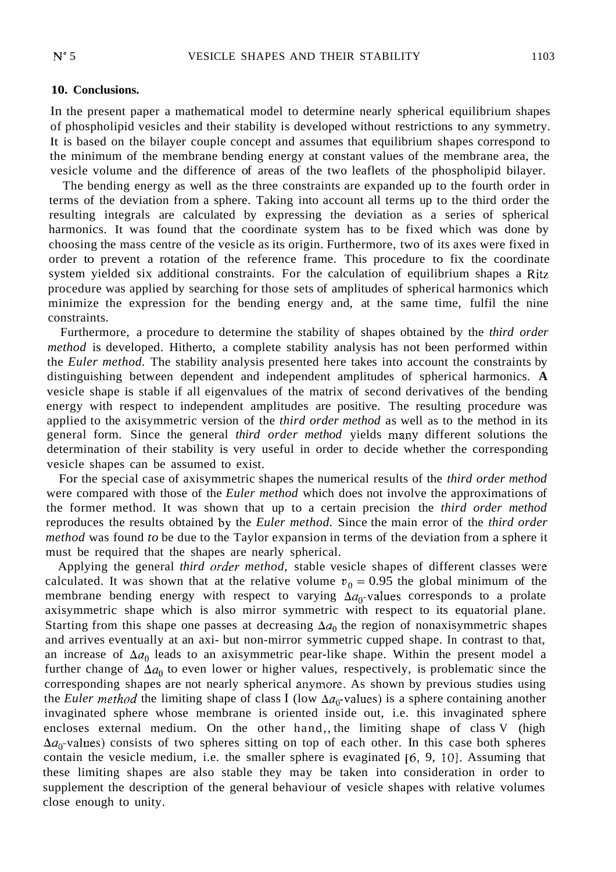#### **10. Conclusions.**

In the present paper a mathematical model to determine nearly spherical equilibrium shapes of phospholipid vesicles and their stability is developed without restrictions to any symmetry. It is based on the bilayer couple concept and assumes that equilibrium shapes correspond to the minimum of the membrane bending energy at constant values of the membrane area, the vesicle volume and the difference of areas of the two leaflets of the phospholipid bilayer.

The bending energy as well as the three constraints are expanded up to the fourth order in terms of the deviation from a sphere. Taking into account all terms up to the third order the resulting integrals are calculated by expressing the deviation as a series of spherical harmonics. It was found that the coordinate system has to be fixed which was done by choosing the mass centre of the vesicle as its origin. Furthermore, two of its axes were fixed in order to prevent a rotation of the reference frame. This procedure to fix the coordinate system yielded six additional constraints. For the calculation of equilibrium shapes a Ritz procedure was applied by searching for those sets of amplitudes of spherical harmonics which minimize the expression for the bending energy and, at the same time, fulfil the nine constraints.

Furthermore, a procedure to determine the stability of shapes obtained by the *third order method* is developed. Hitherto, a complete stability analysis has not been performed within the *Euler method.* The stability analysis presented here takes into account the constraints by distinguishing between dependent and independent amplitudes of spherical harmonics. **A**  vesicle shape is stable if all eigenvalues of the matrix of second derivatives of the bending energy with respect to independent amplitudes are positive. The resulting procedure was applied to the axisymmetric version of the *third order method* as well as to the method in its general form. Since the general *third order method* yields many different solutions the determination of their stability is very useful in order to decide whether the corresponding vesicle shapes can be assumed to exist.

For the special case of axisymmetric shapes the numerical results of the *third order method*  were compared with those of the *Euler method* which does not involve the approximations of the former method. It was shown that up to a certain precision the *third order method*  reproduces the results obtained by the *Euler method.* Since the main error of the *third order method* was found *to* be due to the Taylor expansion in terms of the deviation from a sphere it must be required that the shapes are nearly spherical.

Applying the general *third order method,* stable vesicle shapes of different classes were calculated. It was shown that at the relative volume  $v_0 = 0.95$  the global minimum of the membrane bending energy with respect to varying  $\Delta a_0$ -values corresponds to a prolate axisymmetric shape which is also mirror symmetric with respect to its equatorial plane. Starting from this shape one passes at decreasing  $\Delta a_0$  the region of nonaxisymmetric shapes and arrives eventually at an axi- but non-mirror symmetric cupped shape. In contrast to that, an increase of  $\Delta a_0$  leads to an axisymmetric pear-like shape. Within the present model a further change of  $\Delta a_0$  to even lower or higher values, respectively, is problematic since the corresponding shapes are not nearly spherical anymore. As shown by previous studies using the *Euler method* the limiting shape of class I (low  $\Delta a_0$ -values) is a sphere containing another invaginated sphere whose membrane is oriented inside out, i.e. this invaginated sphere encloses external medium. On the other hand,, the limiting shape of class V (high  $\Delta a_0$ -values) consists of two spheres sitting on top of each other. In this case both spheres contain the vesicle medium, i.e. the smaller sphere is evaginated  $[6, 9, 10]$ . Assuming that these limiting shapes are also stable they may be taken into consideration in order to supplement the description of the general behaviour of vesicle shapes with relative volumes close enough to unity.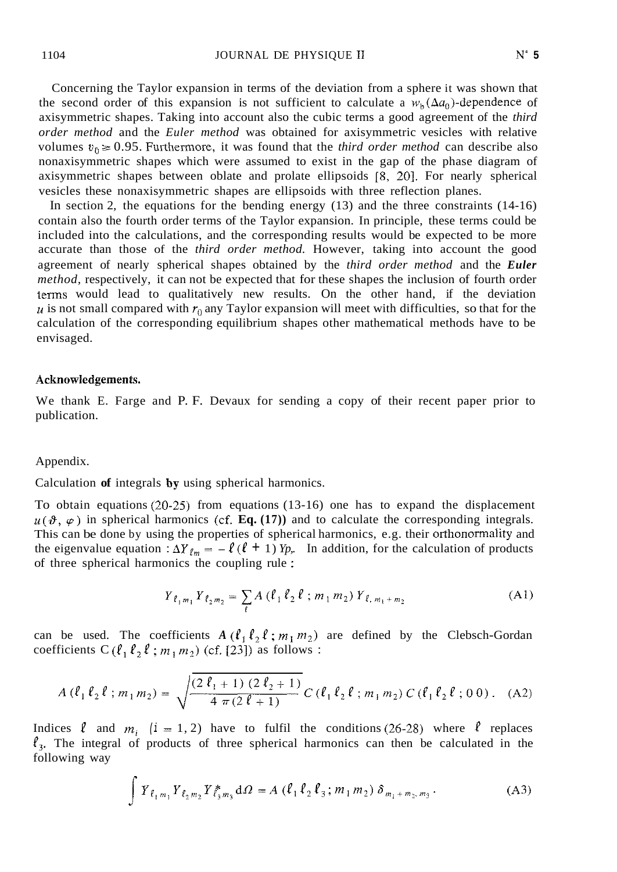Concerning the Taylor expansion in terms of the deviation from a sphere it was shown that the second order of this expansion is not sufficient to calculate a  $w<sub>h</sub>(\Delta a_0)$ -dependence of axisymmetric shapes. Taking into account also the cubic terms a good agreement of the *third order method* and the *Euler method* was obtained for axisymmetric vesicles with relative volumes  $v_0 \ge 0.95$ . Furthermore, it was found that the *third order method* can describe also nonaxisymmetric shapes which were assumed to exist in the gap of the phase diagram of axisymmetric shapes between oblate and prolate ellipsoids **[X,** 201. For nearly spherical vesicles these nonaxisymmetric shapes are ellipsoids with three reflection planes.

In section 2, the equations for the bending energy (13) and the three constraints (14-16) contain also the fourth order terms of the Taylor expansion. In principle, these terms could be included into the calculations, and the corresponding results would be expected to be more accurate than those of the *third order method.* However, taking into account the good agreement of nearly spherical shapes obtained by the *third order method* and the *Euler method,* respectively, it can not be expected that for these shapes the inclusion of fourth order terms would lead to qualitatively new results. On the other hand, if the deviation  $u$  is not small compared with  $r_0$  any Taylor expansion will meet with difficulties, so that for the calculation of the corresponding equilibrium shapes other mathematical methods have to be envisaged.

# Acknowfedgements.

We thank E. Farge and P. F. Devaux for sending a copy of their recent paper prior to publication.

# Appendix.

Calculation **of** integrals by using spherical harmonics.

To obtain equations *(20-25)* from equations (13-16) one has to expand the displacement  $u(\vartheta, \varphi)$  in spherical harmonics (cf. **Eq.** (17)) and to calculate the corresponding integrals. This can be done by using the properties of spherical harmonics, e.g. their orthonormality and the eigenvalue equation :  $\Delta Y_{\ell m} = -\ell(\ell + 1) Y_p$ . In addition, for the calculation of products of three spherical harmonics the coupling rule :

$$
Y_{\ell_1 m_1} Y_{\ell_2 m_2} = \sum_{\ell} A (\ell_1 \ell_2 \ell \ ; m_1 m_2) Y_{\ell, m_1 + m_2}
$$
 (A1)

can be used. The coefficients  $A(\ell_1 \ell_2 \ell; m_1 m_2)$  are defined by the Clebsch-Gordan coefficients  $C(\ell_1 \ell_2 \ell; m_1 m_2)$  (cf. [23]) as follows :

$$
A\left(\ell_1\,\ell_2\,\ell\,;\,m_1\,m_2\right) = \sqrt{\frac{(2\,\ell_1+1)\,(2\,\ell_2+1)}{4\,\pi\,(2\,\ell+1)}}\,C\left(\ell_1\,\ell_2\,\ell\,;\,m_1\,m_2\right)\,C\left(\ell_1\,\ell_2\,\ell\,;\,0\,0\right). \tag{A2}
$$

Indices  $\ell$  and  $m_i$  (i = 1, 2) have to fulfil the conditions (26-28) where  $\ell$  replaces  $\ell_3$ . The integral of products of three spherical harmonics can then be calculated in the following way

$$
\int Y_{\ell_1 m_1} Y_{\ell_2 m_2} Y_{\ell_3 m_3}^* d\Omega = A (\ell_1 \ell_2 \ell_3; m_1 m_2) \delta_{m_1 + m_2, m_3}.
$$
 (A3)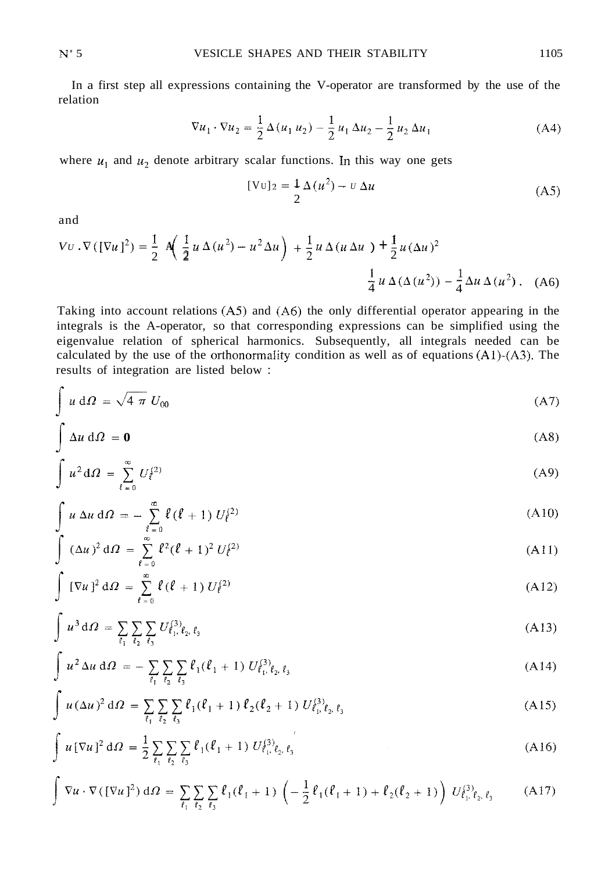In a first step all expressions containing the V-operator are transformed by the use of the relation

$$
\nabla u_1 \cdot \nabla u_2 = \frac{1}{2} \Delta (u_1 u_2) - \frac{1}{2} u_1 \Delta u_2 - \frac{1}{2} u_2 \Delta u_1
$$
 (A4)

where  $u_1$  and  $u_2$  denote arbitrary scalar functions. In this way one gets

$$
[\text{Vu}]_2 = \frac{1}{2} \Delta (u^2) - v \Delta u \tag{A5}
$$

and

×

and  
\n
$$
VU \cdot \nabla ([\nabla u]^2) = \frac{1}{2} A \left( \frac{1}{2} u \Delta (u^2) - u^2 \Delta u \right) + \frac{1}{2} u \Delta (u \Delta u) + \frac{1}{2} u (\Delta u)^2
$$
\n
$$
\frac{1}{4} u \Delta (\Delta (u^2)) - \frac{1}{4} \Delta u \Delta (u^2) . \quad (A6)
$$

Taking into account relations  $(AS)$  and  $(A6)$  the only differential operator appearing in the integrals is the A-operator, so that corresponding expressions can be simplified using the eigenvalue relation of spherical harmonics. Subsequently, all integrals needed can be calculated by the use of the orthonormality condition as well as of equations  $(A1)-(A3)$ . The results of integration are listed below :

$$
\int u \, d\Omega = \sqrt{4 \pi} U_{00} \tag{A7}
$$

$$
\int \Delta u \, d\Omega = 0 \tag{A8}
$$

$$
\int \Delta u \, d\Omega = 0 \tag{A8}
$$
\n
$$
\int u^2 d\Omega = \sum_{\ell=0}^{\infty} U_{\ell}^{(2)} \tag{A9}
$$

$$
\int u \Delta u d\Omega = -\sum_{\ell=0}^{\infty} \ell(\ell+1) U_{\ell}^{(2)}
$$
\n(A10)

$$
\int (\Delta u)^2 d\Omega = \sum_{\ell=0}^{\infty} \ell^2 (\ell+1)^2 U_{\ell}^{(2)}
$$
 (A11)

$$
\int [\nabla u]^2 d\Omega = \sum_{\ell=0}^{\infty} \ell(\ell+1) U_{\ell}^{(2)}
$$
 (A12)

$$
\int u^3 d\Omega = \sum_{\ell_1} \sum_{\ell_2} \sum_{\ell_3} U_{\ell_1, \ell_2, \ell_3}^{(3)} \tag{A13}
$$

$$
\int u^2 \Delta u \, d\Omega = - \sum_{\ell_1} \sum_{\ell_2} \sum_{\ell_3} \ell_1(\ell_1 + 1) U_{\ell_1, \ell_2, \ell_3}^{(3)} \tag{A14}
$$

$$
\int u(\Delta u)^2 d\Omega = \sum_{\ell_1} \sum_{\ell_2} \sum_{\ell_3} \ell_1(\ell_1 + 1) \ell_2(\ell_2 + 1) U_{\ell_1, \ell_2, \ell_3}^{(3)} \tag{A15}
$$

$$
\int u \left[\nabla u\right]^2 d\Omega = \frac{1}{2} \sum_{\ell_1} \sum_{\ell_2} \sum_{\ell_3} \ell_1(\ell_1 + 1) U_{\ell_1, \ell_2, \ell_3}^{(3)} \tag{A16}
$$

$$
\nabla u \cdot \nabla (\left[\nabla u\right]^{2}) d\Omega = \sum_{\ell_{1}} \sum_{\ell_{2}} \sum_{\ell_{3}} \ell_{1}(\ell_{1} + 1) \left( -\frac{1}{2} \ell_{1}(\ell_{1} + 1) + \ell_{2}(\ell_{2} + 1) \right) U_{\ell_{1},\ell_{2},\ell_{3}}^{3} \tag{A17}
$$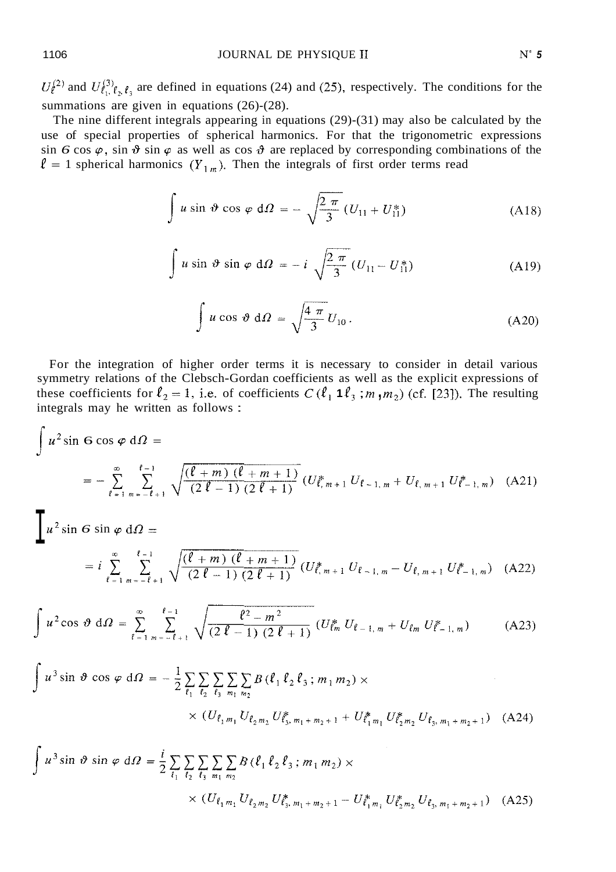$U_f^{(2)}$  and  $U_{\ell_1,\ell_2,\ell_3}^{(3)}$  are defined in equations (24) and (25), respectively. The conditions for the summations are given in equations  $(26)-(28)$ .

The nine different integrals appearing in equations (29)-(31) may also be calculated by the use of special properties of spherical harmonics. For that the trigonometric expressions sin *6* cos  $\varphi$ , sin  $\vartheta$  sin  $\varphi$  as well as cos  $\vartheta$  are replaced by corresponding combinations of the  $\ell = 1$  spherical harmonics  $(Y_{1m})$ . Then the integrals of first order terms read

$$
\int u \sin \vartheta \cos \varphi d\Omega = -\sqrt{\frac{2\pi}{3}} (U_{11} + U_{11}^*)
$$
 (A18)

$$
\int u \sin \vartheta \sin \varphi \, d\Omega = -i \sqrt{\frac{2 \pi}{3}} (U_{11} - U_{11}^*)
$$
 (A19)

$$
\int u \cos \vartheta \, d\Omega = \sqrt{\frac{4 \pi}{3}} U_{10} \,. \tag{A20}
$$

For the integration of higher order terms it is necessary to consider in detail various symmetry relations of the Clebsch-Gordan coefficients as well as the explicit expressions of these coefficients for  $l_2 = 1$ , i.e. of coefficients  $C$  ( $l_1$  **1** $l_3$ ; *m*,  $m_2$ ) (cf. [23]). The resulting integrals may he written as follows :

$$
\int u^2 \sin 6 \cos \varphi \, d\Omega =
$$
\n
$$
= - \sum_{\ell=1}^{\infty} \sum_{m=-\ell+1}^{\ell-1} \sqrt{\frac{(\ell+m)(\ell+m+1)}{(2\ell-1)(2\ell+1)}} \left( U_{\ell,m+1}^* U_{\ell-1,m} + U_{\ell,m+1} U_{\ell-1,m}^* \right) (A21)
$$

$$
\underline{u}^2 \sin \theta \sin \varphi \, d\Omega =
$$
\n
$$
= i \sum_{\ell=1}^{\infty} \sum_{m=-\ell+1}^{\ell-1} \sqrt{\frac{(\ell+m)(\ell+m+1)}{(2\ell-1)(2\ell+1)}} \left(U_{\ell,m+1}^* U_{\ell-1,m} - U_{\ell,m+1} U_{\ell-1,m}^* \right) \quad (A22)
$$

$$
\int u^2 \cos \vartheta \, d\Omega = \sum_{\ell=1}^{\infty} \sum_{m=-\ell+1}^{\ell-1} \sqrt{\frac{\ell^2 - m^2}{(2\,\ell - 1)\,(2\,\ell + 1)}} \left( U_{\ell m}^* \ U_{\ell-1,m} + U_{\ell m} \ U_{\ell-1,m}^* \right) \tag{A23}
$$

$$
\int u^3 \sin \vartheta \cos \varphi \, d\varOmega = -\frac{1}{2} \sum_{\ell_1} \sum_{\ell_2} \sum_{\ell_3} \sum_{m_1} \sum_{m_2} B\left(\ell_1 \ell_2 \ell_3; m_1 m_2\right) \times
$$
\n
$$
\times \left(U_{\ell_1 m_1} U_{\ell_2 m_2} U_{\ell_3, m_1 + m_2 + 1}^* + U_{\ell_1 m_1}^* U_{\ell_2 m_2}^* U_{\ell_3, m_1 + m_2 + 1}\right) \quad \text{(A24)}
$$

$$
\int u^3 \sin \vartheta \sin \varphi \, d\varOmega = \frac{i}{2} \sum_{\ell_1} \sum_{\ell_2} \sum_{\ell_3} \sum_{m_1} \sum_{m_2} B(\ell_1 \ell_2 \ell_3; m_1 m_2) \times
$$
  
 
$$
\times (U_{\ell_1 m_1} U_{\ell_2 m_2} U_{\ell_3, m_1 + m_2 + 1}^* - U_{\ell_1 m_1}^* U_{\ell_2 m_2}^* U_{\ell_3, m_1 + m_2 + 1}) \quad (A25)
$$

 $\overline{a}$ 

 $\epsilon$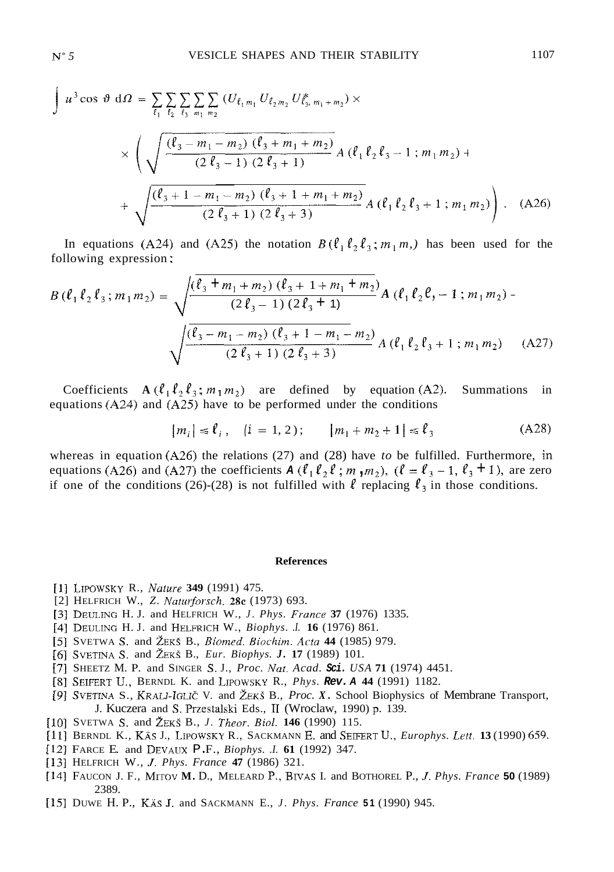$$
\int u^3 \cos \vartheta \, d\Omega = \sum_{\ell_1} \sum_{\ell_2} \sum_{\ell_3} \sum_{m_1 m_2} (U_{\ell_1 m_1} U_{\ell_2 m_2} U_{\ell_3 m_1 + m_2}) \times
$$
\n
$$
\times \left( \sqrt{\frac{(\ell_3 - m_1 - m_2) (\ell_3 + m_1 + m_2)}{(2 \ell_3 - 1) (2 \ell_3 + 1)}} A (\ell_1 \ell_2 \ell_3 - 1; m_1 m_2) + \sqrt{\frac{(\ell_3 + 1 - m_1 - m_2) (\ell_3 + 1 + m_1 + m_2)}{(2 \ell_3 + 1) (2 \ell_3 + 3)}} A (\ell_1 \ell_2 \ell_3 + 1; m_1 m_2) \right). \quad (A26)
$$

In equations (A24) and (A25) the notation  $B(\ell_1 \ell_2 \ell_3; m_1 m)$  has been used for the following expression :

$$
B\left(\ell_{1}\ell_{2}\ell_{3};m_{1}m_{2}\right) = \sqrt{\frac{\left(\ell_{3}+m_{1}+m_{2}\right)\left(\ell_{3}+1+m_{1}+m_{2}\right)}{\left(2\ell_{3}-1\right)\left(2\ell_{3}+1\right)}}A\left(\ell_{1}\ell_{2}\ell,-1;m_{1}m_{2}\right) - \sqrt{\frac{\left(\ell_{3}-m_{1}-m_{2}\right)\left(\ell_{3}+1-m_{1}-m_{2}\right)}{\left(2\ell_{3}+1\right)\left(2\ell_{3}+3\right)}}A\left(\ell_{1}\ell_{2}\ell_{3}+1;m_{1}m_{2}\right) \quad (A27)
$$

Coefficients  $A(\ell_1 \ell_2 \ell_3; m_1 m_2)$  are defined by equation (A2). Summations in equations  $(A24)$  and  $(A25)$  have to be performed under the conditions

$$
|m_i| \le \ell_i, \quad (i = 1, 2); \qquad |m_1 + m_2 + 1| \le \ell_3 \tag{A28}
$$

whereas in equation  $(A26)$  the relations (27) and (28) have *to* be fulfilled. Furthermore, in equations (A26) and (A27) the coefficients  $A$  ( $\ell_1$   $\ell_2$   $\ell$  ;  $m_1$ ,  $m_2$ ), ( $\ell = \ell_3 - 1$ ,  $\ell_3 + 1$ ), are zero if one of the conditions (26)-(28) is not fulfilled with  $\ell$  replacing  $\ell_3$  in those conditions.

#### **References**

- [l] LIPOWSKY R., *Nafure* **349** (1991) 475.
- [2] HELFRICH W., *Z. Nufurforsch. 28c* (1973) 693.
- 131 DEUIJNG H. J. and HELFRICH W., *J. Phys. Fwmce* **37** (1976) 1335.
- 141 DEULINC H. J. and HELFRICH W., *Biophys. .I.* **16** (1976) 861.
- *[S]* SVETWA *S.* and ~EKS B., *Bionzeil. Biochim. Actu* **44** (1985) 979.
- *[6]* SVETINA **S.** and ZEKS B., *Eur. Biophys. J.* **17** (1989) 101.
- *[7]* SHEETZ M. P. and SINGER S. J., *Proc. Nut. Acad. Sci. USA* **71** (1974) 4451.
- [8] SEIFERT U,, BERNDL K. and LIPOWSKY R., *Phys. Rev. A* **44** (1991) 1182.
- [9] SVETINA S., KRALJ-IGLIČ V. and ŽEKŠ B., *Proc. X.* School Biophysics of Membrane Transport, J. Kuczera and **S.** Przestalski Eds., 11 (Wroclaw, 1990) **p.** 139.
- [I01 SVETWA *S.* and ZEKS B., *J. Theor. Bid.* **146** (1990) 115.
- 1111 BERNDL K., KAs J., LIPOWSKY R., SACKMANN E. and SEIFERT U,, *Europhys. Lrtt.* **13** (1990) 659.
- I121 FARCE E. and DEVAUX P. F., *Biophys. .I.* **61** (1992) 347.
- [I31 HELFRICH W., *J. Phys. France* **47** (1986) 321.
- [I41 FAUCON J. F., MITOV **M.** D., MELEARD P., BIVAS I. and BOTHOREL P., *,I. Phys. France* **50** (1989) 2389.
- [15] DUWE H. P., KAS J. and SACKMANN E., *J. Phys. France* **51** (1990) 945.